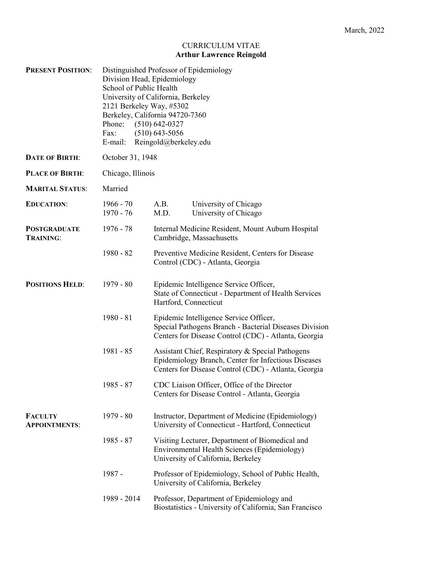# CURRICULUM VITAE **Arthur Lawrence Reingold**

| <b>PRESENT POSITION:</b>                | Phone:<br>Fax:             | Distinguished Professor of Epidemiology<br>Division Head, Epidemiology<br>School of Public Health<br>University of California, Berkeley<br>2121 Berkeley Way, #5302<br>Berkeley, California 94720-7360<br>$(510) 642 - 0327$<br>$(510)$ 643-5056<br>E-mail: Reingold@berkeley.edu |                                                                                                                                                                 |  |
|-----------------------------------------|----------------------------|-----------------------------------------------------------------------------------------------------------------------------------------------------------------------------------------------------------------------------------------------------------------------------------|-----------------------------------------------------------------------------------------------------------------------------------------------------------------|--|
| <b>DATE OF BIRTH:</b>                   | October 31, 1948           |                                                                                                                                                                                                                                                                                   |                                                                                                                                                                 |  |
| <b>PLACE OF BIRTH:</b>                  | Chicago, Illinois          |                                                                                                                                                                                                                                                                                   |                                                                                                                                                                 |  |
| <b>MARITAL STATUS:</b>                  | Married                    |                                                                                                                                                                                                                                                                                   |                                                                                                                                                                 |  |
| <b>EDUCATION:</b>                       | $1966 - 70$<br>$1970 - 76$ | A.B.<br>M.D.                                                                                                                                                                                                                                                                      | University of Chicago<br>University of Chicago                                                                                                                  |  |
| <b>POSTGRADUATE</b><br><b>TRAINING:</b> | 1976 - 78                  | Internal Medicine Resident, Mount Auburn Hospital<br>Cambridge, Massachusetts                                                                                                                                                                                                     |                                                                                                                                                                 |  |
|                                         | $1980 - 82$                |                                                                                                                                                                                                                                                                                   | Preventive Medicine Resident, Centers for Disease<br>Control (CDC) - Atlanta, Georgia                                                                           |  |
| <b>POSITIONS HELD:</b>                  | $1979 - 80$                | Hartford, Connecticut                                                                                                                                                                                                                                                             | Epidemic Intelligence Service Officer,<br>State of Connecticut - Department of Health Services                                                                  |  |
|                                         | $1980 - 81$                |                                                                                                                                                                                                                                                                                   | Epidemic Intelligence Service Officer,<br>Special Pathogens Branch - Bacterial Diseases Division<br>Centers for Disease Control (CDC) - Atlanta, Georgia        |  |
|                                         | $1981 - 85$                |                                                                                                                                                                                                                                                                                   | Assistant Chief, Respiratory & Special Pathogens<br>Epidemiology Branch, Center for Infectious Diseases<br>Centers for Disease Control (CDC) - Atlanta, Georgia |  |
|                                         | $1985 - 87$                |                                                                                                                                                                                                                                                                                   | CDC Liaison Officer, Office of the Director<br>Centers for Disease Control - Atlanta, Georgia                                                                   |  |
| <b>FACULTY</b><br><b>APPOINTMENTS:</b>  | $1979 - 80$                |                                                                                                                                                                                                                                                                                   | Instructor, Department of Medicine (Epidemiology)<br>University of Connecticut - Hartford, Connecticut                                                          |  |
|                                         | $1985 - 87$                |                                                                                                                                                                                                                                                                                   | Visiting Lecturer, Department of Biomedical and<br>Environmental Health Sciences (Epidemiology)<br>University of California, Berkeley                           |  |
|                                         | $1987 -$                   |                                                                                                                                                                                                                                                                                   | Professor of Epidemiology, School of Public Health,<br>University of California, Berkeley                                                                       |  |
|                                         | 1989 - 2014                |                                                                                                                                                                                                                                                                                   | Professor, Department of Epidemiology and<br>Biostatistics - University of California, San Francisco                                                            |  |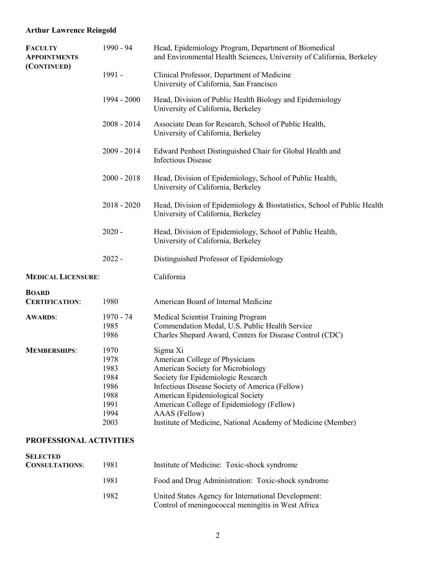| 1990 - 94                                                            | Head, Epidemiology Program, Department of Biomedical<br>and Environmental Health Sciences, University of California, Berkeley                                                                                                                                                                                                             |
|----------------------------------------------------------------------|-------------------------------------------------------------------------------------------------------------------------------------------------------------------------------------------------------------------------------------------------------------------------------------------------------------------------------------------|
| 1991 -                                                               | Clinical Professor, Department of Medicine<br>University of California, San Francisco                                                                                                                                                                                                                                                     |
| 1994 - 2000                                                          | Head, Division of Public Health Biology and Epidemiology<br>University of California, Berkeley                                                                                                                                                                                                                                            |
| $2008 - 2014$                                                        | Associate Dean for Research, School of Public Health,<br>University of California, Berkeley                                                                                                                                                                                                                                               |
| $2009 - 2014$                                                        | Edward Penhoet Distinguished Chair for Global Health and<br><b>Infectious Disease</b>                                                                                                                                                                                                                                                     |
| $2000 - 2018$                                                        | Head, Division of Epidemiology, School of Public Health,<br>University of California, Berkeley                                                                                                                                                                                                                                            |
| $2018 - 2020$                                                        | Head, Division of Epidemiology & Biostatistics, School of Public Health<br>University of California, Berkeley                                                                                                                                                                                                                             |
| $2020 -$                                                             | Head, Division of Epidemiology, School of Public Health,<br>University of California, Berkeley                                                                                                                                                                                                                                            |
| $2022 -$                                                             | Distinguished Professor of Epidemiology                                                                                                                                                                                                                                                                                                   |
| <b>MEDICAL LICENSURE:</b>                                            | California                                                                                                                                                                                                                                                                                                                                |
| 1980                                                                 | American Board of Internal Medicine                                                                                                                                                                                                                                                                                                       |
| 1970 - 74<br>1985<br>1986                                            | Medical Scientist Training Program<br>Commendation Medal, U.S. Public Health Service<br>Charles Shepard Award, Centers for Disease Control (CDC)                                                                                                                                                                                          |
| 1970<br>1978<br>1983<br>1984<br>1986<br>1988<br>1991<br>1994<br>2003 | Sigma Xi<br>American College of Physicians<br>American Society for Microbiology<br>Society for Epidemiologic Research<br>Infectious Disease Society of America (Fellow)<br>American Epidemiological Society<br>American College of Epidemiology (Fellow)<br>AAAS (Fellow)<br>Institute of Medicine, National Academy of Medicine (Member) |
|                                                                      |                                                                                                                                                                                                                                                                                                                                           |

### **PROFESSIONAL ACTIVITIES**

| <b>SELECTED</b><br><b>CONSULTATIONS:</b> | 1981 | Institute of Medicine: Toxic-shock syndrome                                                               |
|------------------------------------------|------|-----------------------------------------------------------------------------------------------------------|
|                                          | 1981 | Food and Drug Administration: Toxic-shock syndrome                                                        |
|                                          | 1982 | United States Agency for International Development:<br>Control of meningococcal meningitis in West Africa |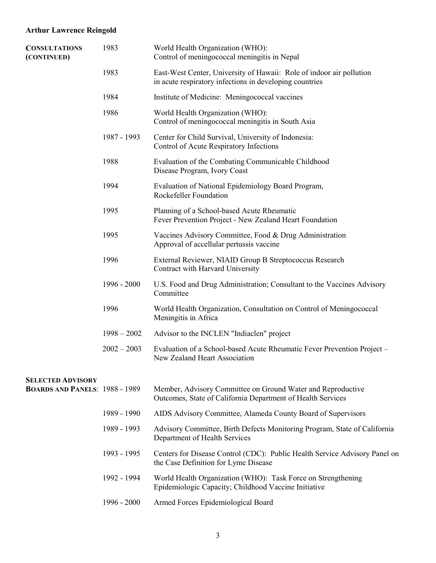| <b>CONSULTATIONS</b><br>(CONTINUED)   | 1983          | World Health Organization (WHO):<br>Control of meningococcal meningitis in Nepal                                                |
|---------------------------------------|---------------|---------------------------------------------------------------------------------------------------------------------------------|
|                                       | 1983          | East-West Center, University of Hawaii: Role of indoor air pollution<br>in acute respiratory infections in developing countries |
|                                       | 1984          | Institute of Medicine: Meningococcal vaccines                                                                                   |
|                                       | 1986          | World Health Organization (WHO):<br>Control of meningococcal meningitis in South Asia                                           |
|                                       | 1987 - 1993   | Center for Child Survival, University of Indonesia:<br>Control of Acute Respiratory Infections                                  |
|                                       | 1988          | Evaluation of the Combating Communicable Childhood<br>Disease Program, Ivory Coast                                              |
|                                       | 1994          | Evaluation of National Epidemiology Board Program,<br>Rockefeller Foundation                                                    |
|                                       | 1995          | Planning of a School-based Acute Rheumatic<br>Fever Prevention Project - New Zealand Heart Foundation                           |
|                                       | 1995          | Vaccines Advisory Committee, Food & Drug Administration<br>Approval of accellular pertussis vaccine                             |
|                                       | 1996          | External Reviewer, NIAID Group B Streptococcus Research<br>Contract with Harvard University                                     |
|                                       | 1996 - 2000   | U.S. Food and Drug Administration; Consultant to the Vaccines Advisory<br>Committee                                             |
|                                       | 1996          | World Health Organization, Consultation on Control of Meningococcal<br>Meningitis in Africa                                     |
|                                       | $1998 - 2002$ | Advisor to the INCLEN "Indiaclen" project                                                                                       |
|                                       | $2002 - 2003$ | Evaluation of a School-based Acute Rheumatic Fever Prevention Project -<br>New Zealand Heart Association                        |
| <b>SELECTED ADVISORY</b>              |               |                                                                                                                                 |
| <b>BOARDS AND PANELS: 1988 - 1989</b> |               | Member, Advisory Committee on Ground Water and Reproductive<br>Outcomes, State of California Department of Health Services      |
|                                       | 1989 - 1990   | AIDS Advisory Committee, Alameda County Board of Supervisors                                                                    |
|                                       | 1989 - 1993   | Advisory Committee, Birth Defects Monitoring Program, State of California<br>Department of Health Services                      |
|                                       | 1993 - 1995   | Centers for Disease Control (CDC): Public Health Service Advisory Panel on<br>the Case Definition for Lyme Disease              |
|                                       | 1992 - 1994   | World Health Organization (WHO): Task Force on Strengthening<br>Epidemiologic Capacity; Childhood Vaccine Initiative            |
|                                       | $1996 - 2000$ | Armed Forces Epidemiological Board                                                                                              |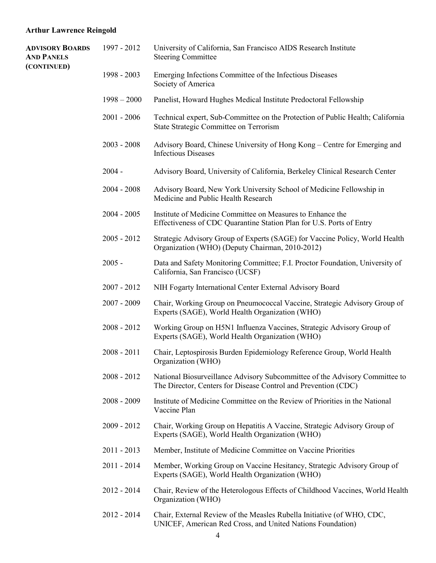| <b>ADVISORY BOARDS</b><br><b>AND PANELS</b> | 1997 - 2012   | University of California, San Francisco AIDS Research Institute<br><b>Steering Committee</b>                                                  |
|---------------------------------------------|---------------|-----------------------------------------------------------------------------------------------------------------------------------------------|
| (CONTINUED)                                 | 1998 - 2003   | Emerging Infections Committee of the Infectious Diseases<br>Society of America                                                                |
|                                             | $1998 - 2000$ | Panelist, Howard Hughes Medical Institute Predoctoral Fellowship                                                                              |
|                                             | $2001 - 2006$ | Technical expert, Sub-Committee on the Protection of Public Health; California<br>State Strategic Committee on Terrorism                      |
|                                             | $2003 - 2008$ | Advisory Board, Chinese University of Hong Kong – Centre for Emerging and<br><b>Infectious Diseases</b>                                       |
|                                             | $2004 -$      | Advisory Board, University of California, Berkeley Clinical Research Center                                                                   |
|                                             | $2004 - 2008$ | Advisory Board, New York University School of Medicine Fellowship in<br>Medicine and Public Health Research                                   |
|                                             | $2004 - 2005$ | Institute of Medicine Committee on Measures to Enhance the<br>Effectiveness of CDC Quarantine Station Plan for U.S. Ports of Entry            |
|                                             | $2005 - 2012$ | Strategic Advisory Group of Experts (SAGE) for Vaccine Policy, World Health<br>Organization (WHO) (Deputy Chairman, 2010-2012)                |
|                                             | $2005 -$      | Data and Safety Monitoring Committee; F.I. Proctor Foundation, University of<br>California, San Francisco (UCSF)                              |
|                                             | $2007 - 2012$ | NIH Fogarty International Center External Advisory Board                                                                                      |
|                                             | $2007 - 2009$ | Chair, Working Group on Pneumococcal Vaccine, Strategic Advisory Group of<br>Experts (SAGE), World Health Organization (WHO)                  |
|                                             | $2008 - 2012$ | Working Group on H5N1 Influenza Vaccines, Strategic Advisory Group of<br>Experts (SAGE), World Health Organization (WHO)                      |
|                                             | $2008 - 2011$ | Chair, Leptospirosis Burden Epidemiology Reference Group, World Health<br>Organization (WHO)                                                  |
|                                             | $2008 - 2012$ | National Biosurveillance Advisory Subcommittee of the Advisory Committee to<br>The Director, Centers for Disease Control and Prevention (CDC) |
|                                             | $2008 - 2009$ | Institute of Medicine Committee on the Review of Priorities in the National<br>Vaccine Plan                                                   |
|                                             | $2009 - 2012$ | Chair, Working Group on Hepatitis A Vaccine, Strategic Advisory Group of<br>Experts (SAGE), World Health Organization (WHO)                   |
|                                             | $2011 - 2013$ | Member, Institute of Medicine Committee on Vaccine Priorities                                                                                 |
|                                             | 2011 - 2014   | Member, Working Group on Vaccine Hesitancy, Strategic Advisory Group of<br>Experts (SAGE), World Health Organization (WHO)                    |
|                                             | 2012 - 2014   | Chair, Review of the Heterologous Effects of Childhood Vaccines, World Health<br>Organization (WHO)                                           |
|                                             | 2012 - 2014   | Chair, External Review of the Measles Rubella Initiative (of WHO, CDC,<br>UNICEF, American Red Cross, and United Nations Foundation)          |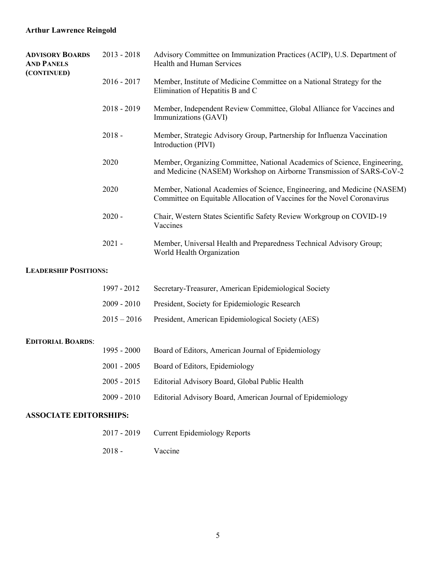| <b>ADVISORY BOARDS</b><br><b>AND PANELS</b> | $2013 - 2018$ | Advisory Committee on Immunization Practices (ACIP), U.S. Department of<br>Health and Human Services                                                |
|---------------------------------------------|---------------|-----------------------------------------------------------------------------------------------------------------------------------------------------|
| (CONTINUED)                                 | $2016 - 2017$ | Member, Institute of Medicine Committee on a National Strategy for the<br>Elimination of Hepatitis B and C                                          |
|                                             | $2018 - 2019$ | Member, Independent Review Committee, Global Alliance for Vaccines and<br>Immunizations (GAVI)                                                      |
|                                             | $2018 -$      | Member, Strategic Advisory Group, Partnership for Influenza Vaccination<br>Introduction (PIVI)                                                      |
|                                             | 2020          | Member, Organizing Committee, National Academics of Science, Engineering,<br>and Medicine (NASEM) Workshop on Airborne Transmission of SARS-CoV-2   |
|                                             | 2020          | Member, National Academies of Science, Engineering, and Medicine (NASEM)<br>Committee on Equitable Allocation of Vaccines for the Novel Coronavirus |
|                                             | $2020 -$      | Chair, Western States Scientific Safety Review Workgroup on COVID-19<br>Vaccines                                                                    |
|                                             | $2021 -$      | Member, Universal Health and Preparedness Technical Advisory Group;<br>World Health Organization                                                    |
| <b>LEADERSHIP POSITIONS:</b>                |               |                                                                                                                                                     |
|                                             | 1997 - 2012   | Secretary-Treasurer, American Epidemiological Society                                                                                               |
|                                             | $2009 - 2010$ | President, Society for Epidemiologic Research                                                                                                       |
|                                             | $2015 - 2016$ | President, American Epidemiological Society (AES)                                                                                                   |

### **EDITORIAL BOARDS**:

| 2001 - 2005 Board of Editors, Epidemiology<br>2005 - 2015 Editorial Advisory Board, Global Public Health<br>2009 - 2010 | 1995 - 2000 | Board of Editors, American Journal of Epidemiology         |
|-------------------------------------------------------------------------------------------------------------------------|-------------|------------------------------------------------------------|
|                                                                                                                         |             |                                                            |
|                                                                                                                         |             |                                                            |
|                                                                                                                         |             | Editorial Advisory Board, American Journal of Epidemiology |

# **ASSOCIATE EDITORSHIPS:**

| 2017 - 2019 | <b>Current Epidemiology Reports</b> |  |
|-------------|-------------------------------------|--|
|-------------|-------------------------------------|--|

2018 - Vaccine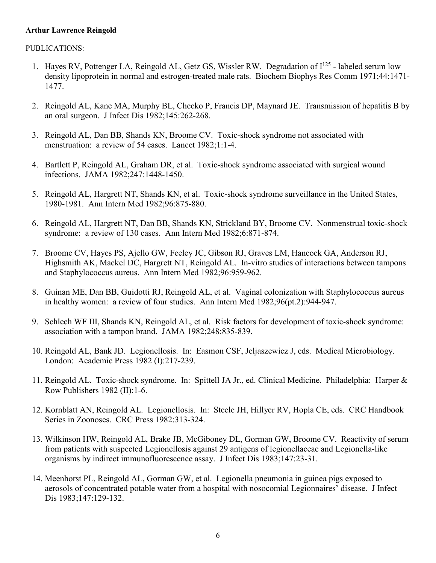#### PUBLICATIONS:

- 1. Hayes RV, Pottenger LA, Reingold AL, Getz GS, Wissler RW. Degradation of  $I^{125}$  labeled serum low density lipoprotein in normal and estrogen-treated male rats. Biochem Biophys Res Comm 1971;44:1471- 1477.
- 2. Reingold AL, Kane MA, Murphy BL, Checko P, Francis DP, Maynard JE. Transmission of hepatitis B by an oral surgeon. J Infect Dis 1982;145:262-268.
- 3. Reingold AL, Dan BB, Shands KN, Broome CV. Toxic-shock syndrome not associated with menstruation: a review of 54 cases. Lancet 1982;1:1-4.
- 4. Bartlett P, Reingold AL, Graham DR, et al. Toxic-shock syndrome associated with surgical wound infections. JAMA 1982;247:1448-1450.
- 5. Reingold AL, Hargrett NT, Shands KN, et al. Toxic-shock syndrome surveillance in the United States, 1980-1981. Ann Intern Med 1982;96:875-880.
- 6. Reingold AL, Hargrett NT, Dan BB, Shands KN, Strickland BY, Broome CV. Nonmenstrual toxic-shock syndrome: a review of 130 cases. Ann Intern Med 1982;6:871-874.
- 7. Broome CV, Hayes PS, Ajello GW, Feeley JC, Gibson RJ, Graves LM, Hancock GA, Anderson RJ, Highsmith AK, Mackel DC, Hargrett NT, Reingold AL. In-vitro studies of interactions between tampons and Staphylococcus aureus. Ann Intern Med 1982;96:959-962.
- 8. Guinan ME, Dan BB, Guidotti RJ, Reingold AL, et al. Vaginal colonization with Staphylococcus aureus in healthy women: a review of four studies. Ann Intern Med 1982;96(pt.2):944-947.
- 9. Schlech WF III, Shands KN, Reingold AL, et al. Risk factors for development of toxic-shock syndrome: association with a tampon brand. JAMA 1982;248:835-839.
- 10. Reingold AL, Bank JD. Legionellosis. In: Easmon CSF, Jeljaszewicz J, eds. Medical Microbiology. London: Academic Press 1982 (I):217-239.
- 11. Reingold AL. Toxic-shock syndrome. In: Spittell JA Jr., ed. Clinical Medicine. Philadelphia: Harper & Row Publishers 1982 (II):1-6.
- 12. Kornblatt AN, Reingold AL. Legionellosis. In: Steele JH, Hillyer RV, Hopla CE, eds. CRC Handbook Series in Zoonoses. CRC Press 1982:313-324.
- 13. Wilkinson HW, Reingold AL, Brake JB, McGiboney DL, Gorman GW, Broome CV. Reactivity of serum from patients with suspected Legionellosis against 29 antigens of legionellaceae and Legionella-like organisms by indirect immunofluorescence assay. J Infect Dis 1983;147:23-31.
- 14. Meenhorst PL, Reingold AL, Gorman GW, et al. Legionella pneumonia in guinea pigs exposed to aerosols of concentrated potable water from a hospital with nosocomial Legionnaires' disease. J Infect Dis 1983;147:129-132.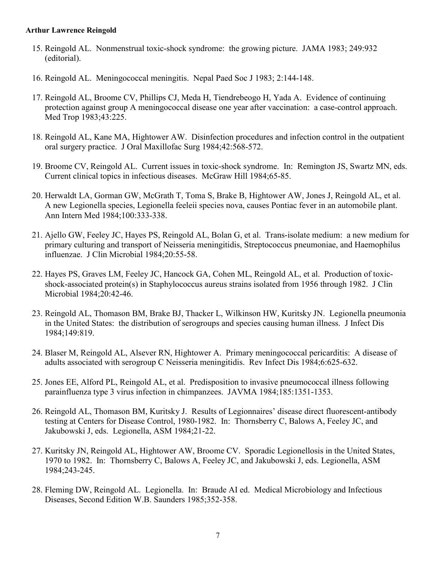- 15. Reingold AL. Nonmenstrual toxic-shock syndrome: the growing picture. JAMA 1983; 249:932 (editorial).
- 16. Reingold AL. Meningococcal meningitis. Nepal Paed Soc J 1983; 2:144-148.
- 17. Reingold AL, Broome CV, Phillips CJ, Meda H, Tiendrebeogo H, Yada A. Evidence of continuing protection against group A meningococcal disease one year after vaccination: a case-control approach. Med Trop 1983;43:225.
- 18. Reingold AL, Kane MA, Hightower AW. Disinfection procedures and infection control in the outpatient oral surgery practice. J Oral Maxillofac Surg 1984;42:568-572.
- 19. Broome CV, Reingold AL. Current issues in toxic-shock syndrome. In: Remington JS, Swartz MN, eds. Current clinical topics in infectious diseases. McGraw Hill 1984;65-85.
- 20. Herwaldt LA, Gorman GW, McGrath T, Toma S, Brake B, Hightower AW, Jones J, Reingold AL, et al. A new Legionella species, Legionella feeleii species nova, causes Pontiac fever in an automobile plant. Ann Intern Med 1984;100:333-338.
- 21. Ajello GW, Feeley JC, Hayes PS, Reingold AL, Bolan G, et al. Trans-isolate medium: a new medium for primary culturing and transport of Neisseria meningitidis, Streptococcus pneumoniae, and Haemophilus influenzae. J Clin Microbial 1984;20:55-58.
- 22. Hayes PS, Graves LM, Feeley JC, Hancock GA, Cohen ML, Reingold AL, et al. Production of toxicshock-associated protein(s) in Staphylococcus aureus strains isolated from 1956 through 1982. J Clin Microbial 1984;20:42-46.
- 23. Reingold AL, Thomason BM, Brake BJ, Thacker L, Wilkinson HW, Kuritsky JN. Legionella pneumonia in the United States: the distribution of serogroups and species causing human illness. J Infect Dis 1984;149:819.
- 24. Blaser M, Reingold AL, Alsever RN, Hightower A. Primary meningococcal pericarditis: A disease of adults associated with serogroup C Neisseria meningitidis. Rev Infect Dis 1984;6:625-632.
- 25. Jones EE, Alford PL, Reingold AL, et al. Predisposition to invasive pneumococcal illness following parainfluenza type 3 virus infection in chimpanzees. JAVMA 1984;185:1351-1353.
- 26. Reingold AL, Thomason BM, Kuritsky J. Results of Legionnaires' disease direct fluorescent-antibody testing at Centers for Disease Control, 1980-1982. In: Thornsberry C, Balows A, Feeley JC, and Jakubowski J, eds. Legionella, ASM 1984;21-22.
- 27. Kuritsky JN, Reingold AL, Hightower AW, Broome CV. Sporadic Legionellosis in the United States, 1970 to 1982. In: Thornsberry C, Balows A, Feeley JC, and Jakubowski J, eds. Legionella, ASM 1984;243-245.
- 28. Fleming DW, Reingold AL. Legionella. In: Braude AI ed. Medical Microbiology and Infectious Diseases, Second Edition W.B. Saunders 1985;352-358.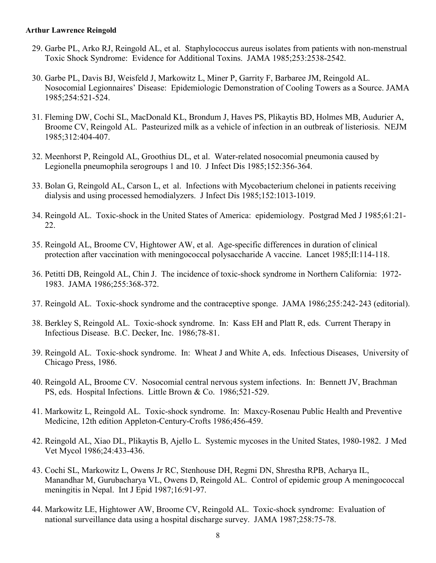- 29. Garbe PL, Arko RJ, Reingold AL, et al. Staphylococcus aureus isolates from patients with non-menstrual Toxic Shock Syndrome: Evidence for Additional Toxins. JAMA 1985;253:2538-2542.
- 30. Garbe PL, Davis BJ, Weisfeld J, Markowitz L, Miner P, Garrity F, Barbaree JM, Reingold AL. Nosocomial Legionnaires' Disease: Epidemiologic Demonstration of Cooling Towers as a Source. JAMA 1985;254:521-524.
- 31. Fleming DW, Cochi SL, MacDonald KL, Brondum J, Haves PS, Plikaytis BD, Holmes MB, Audurier A, Broome CV, Reingold AL. Pasteurized milk as a vehicle of infection in an outbreak of listeriosis. NEJM 1985;312:404-407.
- 32. Meenhorst P, Reingold AL, Groothius DL, et al. Water-related nosocomial pneumonia caused by Legionella pneumophila serogroups 1 and 10. J Infect Dis 1985;152:356-364.
- 33. Bolan G, Reingold AL, Carson L, et al. Infections with Mycobacterium chelonei in patients receiving dialysis and using processed hemodialyzers. J Infect Dis 1985;152:1013-1019.
- 34. Reingold AL. Toxic-shock in the United States of America: epidemiology. Postgrad Med J 1985;61:21- 22.
- 35. Reingold AL, Broome CV, Hightower AW, et al. Age-specific differences in duration of clinical protection after vaccination with meningococcal polysaccharide A vaccine. Lancet 1985;II:114-118.
- 36. Petitti DB, Reingold AL, Chin J. The incidence of toxic-shock syndrome in Northern California: 1972- 1983. JAMA 1986;255:368-372.
- 37. Reingold AL. Toxic-shock syndrome and the contraceptive sponge. JAMA 1986;255:242-243 (editorial).
- 38. Berkley S, Reingold AL. Toxic-shock syndrome. In: Kass EH and Platt R, eds. Current Therapy in Infectious Disease. B.C. Decker, Inc. 1986;78-81.
- 39. Reingold AL. Toxic-shock syndrome. In: Wheat J and White A, eds. Infectious Diseases, University of Chicago Press, 1986.
- 40. Reingold AL, Broome CV. Nosocomial central nervous system infections. In: Bennett JV, Brachman PS, eds. Hospital Infections. Little Brown & Co. 1986;521-529.
- 41. Markowitz L, Reingold AL. Toxic-shock syndrome. In: Maxcy-Rosenau Public Health and Preventive Medicine, 12th edition Appleton-Century-Crofts 1986;456-459.
- 42. Reingold AL, Xiao DL, Plikaytis B, Ajello L. Systemic mycoses in the United States, 1980-1982. J Med Vet Mycol 1986;24:433-436.
- 43. Cochi SL, Markowitz L, Owens Jr RC, Stenhouse DH, Regmi DN, Shrestha RPB, Acharya IL, Manandhar M, Gurubacharya VL, Owens D, Reingold AL. Control of epidemic group A meningococcal meningitis in Nepal. Int J Epid 1987;16:91-97.
- 44. Markowitz LE, Hightower AW, Broome CV, Reingold AL. Toxic-shock syndrome: Evaluation of national surveillance data using a hospital discharge survey. JAMA 1987;258:75-78.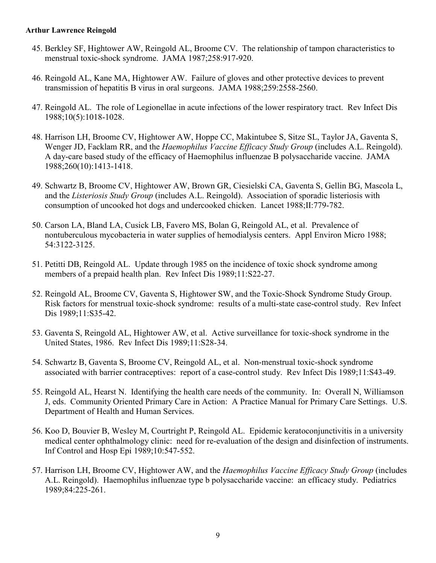- 45. Berkley SF, Hightower AW, Reingold AL, Broome CV. The relationship of tampon characteristics to menstrual toxic-shock syndrome. JAMA 1987;258:917-920.
- 46. Reingold AL, Kane MA, Hightower AW. Failure of gloves and other protective devices to prevent transmission of hepatitis B virus in oral surgeons. JAMA 1988;259:2558-2560.
- 47. Reingold AL. The role of Legionellae in acute infections of the lower respiratory tract. Rev Infect Dis 1988;10(5):1018-1028.
- 48. Harrison LH, Broome CV, Hightower AW, Hoppe CC, Makintubee S, Sitze SL, Taylor JA, Gaventa S, Wenger JD, Facklam RR, and the *Haemophilus Vaccine Efficacy Study Group* (includes A.L. Reingold). A day-care based study of the efficacy of Haemophilus influenzae B polysaccharide vaccine. JAMA 1988;260(10):1413-1418.
- 49. Schwartz B, Broome CV, Hightower AW, Brown GR, Ciesielski CA, Gaventa S, Gellin BG, Mascola L, and the *Listeriosis Study Group* (includes A.L. Reingold). Association of sporadic listeriosis with consumption of uncooked hot dogs and undercooked chicken. Lancet 1988;II:779-782.
- 50. Carson LA, Bland LA, Cusick LB, Favero MS, Bolan G, Reingold AL, et al. Prevalence of nontuberculous mycobacteria in water supplies of hemodialysis centers. Appl Environ Micro 1988; 54:3122-3125.
- 51. Petitti DB, Reingold AL. Update through 1985 on the incidence of toxic shock syndrome among members of a prepaid health plan. Rev Infect Dis 1989;11:S22-27.
- 52. Reingold AL, Broome CV, Gaventa S, Hightower SW, and the Toxic-Shock Syndrome Study Group. Risk factors for menstrual toxic-shock syndrome: results of a multi-state case-control study. Rev Infect Dis 1989;11:S35-42.
- 53. Gaventa S, Reingold AL, Hightower AW, et al. Active surveillance for toxic-shock syndrome in the United States, 1986. Rev Infect Dis 1989;11:S28-34.
- 54. Schwartz B, Gaventa S, Broome CV, Reingold AL, et al. Non-menstrual toxic-shock syndrome associated with barrier contraceptives: report of a case-control study. Rev Infect Dis 1989;11:S43-49.
- 55. Reingold AL, Hearst N. Identifying the health care needs of the community. In: Overall N, Williamson J, eds. Community Oriented Primary Care in Action: A Practice Manual for Primary Care Settings. U.S. Department of Health and Human Services.
- 56. Koo D, Bouvier B, Wesley M, Courtright P, Reingold AL. Epidemic keratoconjunctivitis in a university medical center ophthalmology clinic: need for re-evaluation of the design and disinfection of instruments. Inf Control and Hosp Epi 1989;10:547-552.
- 57. Harrison LH, Broome CV, Hightower AW, and the *Haemophilus Vaccine Efficacy Study Group* (includes A.L. Reingold). Haemophilus influenzae type b polysaccharide vaccine: an efficacy study. Pediatrics 1989;84:225-261.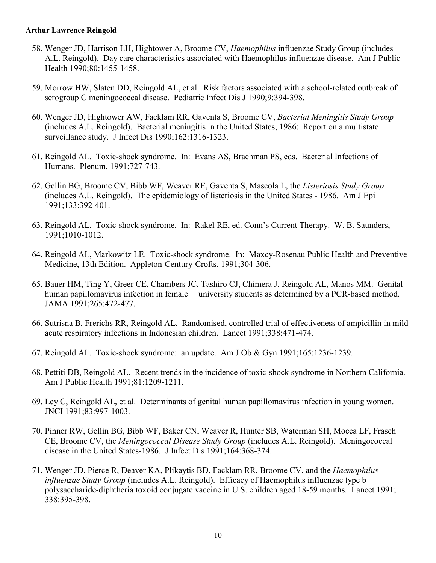- 58. Wenger JD, Harrison LH, Hightower A, Broome CV, *Haemophilus* influenzae Study Group (includes A.L. Reingold). Day care characteristics associated with Haemophilus influenzae disease. Am J Public Health 1990;80:1455-1458.
- 59. Morrow HW, Slaten DD, Reingold AL, et al. Risk factors associated with a school-related outbreak of serogroup C meningococcal disease. Pediatric Infect Dis J 1990;9:394-398.
- 60. Wenger JD, Hightower AW, Facklam RR, Gaventa S, Broome CV, *Bacterial Meningitis Study Group* (includes A.L. Reingold). Bacterial meningitis in the United States, 1986: Report on a multistate surveillance study. J Infect Dis 1990;162:1316-1323.
- 61. Reingold AL. Toxic-shock syndrome. In: Evans AS, Brachman PS, eds. Bacterial Infections of Humans. Plenum, 1991;727-743.
- 62. Gellin BG, Broome CV, Bibb WF, Weaver RE, Gaventa S, Mascola L, the *Listeriosis Study Group*. (includes A.L. Reingold). The epidemiology of listeriosis in the United States - 1986. Am J Epi 1991;133:392-401.
- 63. Reingold AL. Toxic-shock syndrome. In: Rakel RE, ed. Conn's Current Therapy. W. B. Saunders, 1991;1010-1012.
- 64. Reingold AL, Markowitz LE. Toxic-shock syndrome. In: Maxcy-Rosenau Public Health and Preventive Medicine, 13th Edition. Appleton-Century-Crofts, 1991;304-306.
- 65. Bauer HM, Ting Y, Greer CE, Chambers JC, Tashiro CJ, Chimera J, Reingold AL, Manos MM. Genital human papillomavirus infection in female university students as determined by a PCR-based method. JAMA 1991;265:472-477.
- 66. Sutrisna B, Frerichs RR, Reingold AL. Randomised, controlled trial of effectiveness of ampicillin in mild acute respiratory infections in Indonesian children. Lancet 1991;338:471-474.
- 67. Reingold AL. Toxic-shock syndrome: an update. Am J Ob & Gyn 1991;165:1236-1239.
- 68. Pettiti DB, Reingold AL. Recent trends in the incidence of toxic-shock syndrome in Northern California. Am J Public Health 1991;81:1209-1211.
- 69. Ley C, Reingold AL, et al. Determinants of genital human papillomavirus infection in young women. JNCI 1991;83:997-1003.
- 70. Pinner RW, Gellin BG, Bibb WF, Baker CN, Weaver R, Hunter SB, Waterman SH, Mocca LF, Frasch CE, Broome CV, the *Meningococcal Disease Study Group* (includes A.L. Reingold). Meningococcal disease in the United States-1986. J Infect Dis 1991;164:368-374.
- 71. Wenger JD, Pierce R, Deaver KA, Plikaytis BD, Facklam RR, Broome CV, and the *Haemophilus influenzae Study Group* (includes A.L. Reingold). Efficacy of Haemophilus influenzae type b polysaccharide-diphtheria toxoid conjugate vaccine in U.S. children aged 18-59 months. Lancet 1991; 338:395-398.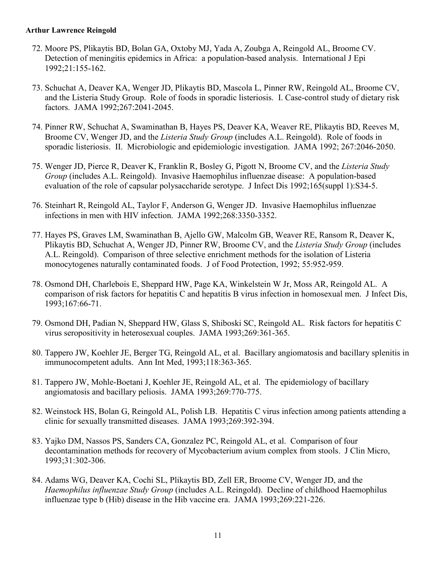- 72. Moore PS, Plikaytis BD, Bolan GA, Oxtoby MJ, Yada A, Zoubga A, Reingold AL, Broome CV. Detection of meningitis epidemics in Africa: a population-based analysis. International J Epi 1992;21:155-162.
- 73. Schuchat A, Deaver KA, Wenger JD, Plikaytis BD, Mascola L, Pinner RW, Reingold AL, Broome CV, and the Listeria Study Group. Role of foods in sporadic listeriosis. I. Case-control study of dietary risk factors. JAMA 1992;267:2041-2045.
- 74. Pinner RW, Schuchat A, Swaminathan B, Hayes PS, Deaver KA, Weaver RE, Plikaytis BD, Reeves M, Broome CV, Wenger JD, and the *Listeria Study Group* (includes A.L. Reingold). Role of foods in sporadic listeriosis. II. Microbiologic and epidemiologic investigation. JAMA 1992; 267:2046-2050.
- 75. Wenger JD, Pierce R, Deaver K, Franklin R, Bosley G, Pigott N, Broome CV, and the *Listeria Study Group* (includes A.L. Reingold). Invasive Haemophilus influenzae disease: A population-based evaluation of the role of capsular polysaccharide serotype. J Infect Dis 1992;165(suppl 1):S34-5.
- 76. Steinhart R, Reingold AL, Taylor F, Anderson G, Wenger JD. Invasive Haemophilus influenzae infections in men with HIV infection. JAMA 1992;268:3350-3352.
- 77. Hayes PS, Graves LM, Swaminathan B, Ajello GW, Malcolm GB, Weaver RE, Ransom R, Deaver K, Plikaytis BD, Schuchat A, Wenger JD, Pinner RW, Broome CV, and the *Listeria Study Group* (includes A.L. Reingold). Comparison of three selective enrichment methods for the isolation of Listeria monocytogenes naturally contaminated foods. J of Food Protection, 1992; 55:952-959.
- 78. Osmond DH, Charlebois E, Sheppard HW, Page KA, Winkelstein W Jr, Moss AR, Reingold AL. A comparison of risk factors for hepatitis C and hepatitis B virus infection in homosexual men. J Infect Dis, 1993;167:66-71.
- 79. Osmond DH, Padian N, Sheppard HW, Glass S, Shiboski SC, Reingold AL. Risk factors for hepatitis C virus seropositivity in heterosexual couples. JAMA 1993;269:361-365.
- 80. Tappero JW, Koehler JE, Berger TG, Reingold AL, et al. Bacillary angiomatosis and bacillary splenitis in immunocompetent adults. Ann Int Med, 1993;118:363-365.
- 81. Tappero JW, Mohle-Boetani J, Koehler JE, Reingold AL, et al. The epidemiology of bacillary angiomatosis and bacillary peliosis. JAMA 1993;269:770-775.
- 82. Weinstock HS, Bolan G, Reingold AL, Polish LB. Hepatitis C virus infection among patients attending a clinic for sexually transmitted diseases. JAMA 1993;269:392-394.
- 83. Yajko DM, Nassos PS, Sanders CA, Gonzalez PC, Reingold AL, et al. Comparison of four decontamination methods for recovery of Mycobacterium avium complex from stools. J Clin Micro, 1993;31:302-306.
- 84. Adams WG, Deaver KA, Cochi SL, Plikaytis BD, Zell ER, Broome CV, Wenger JD, and the *Haemophilus influenzae Study Group* (includes A.L. Reingold). Decline of childhood Haemophilus influenzae type b (Hib) disease in the Hib vaccine era. JAMA 1993;269:221-226.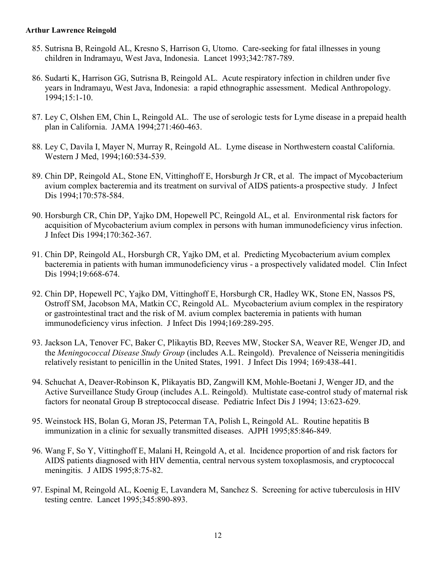- 85. Sutrisna B, Reingold AL, Kresno S, Harrison G, Utomo. Care-seeking for fatal illnesses in young children in Indramayu, West Java, Indonesia. Lancet 1993;342:787-789.
- 86. Sudarti K, Harrison GG, Sutrisna B, Reingold AL. Acute respiratory infection in children under five years in Indramayu, West Java, Indonesia: a rapid ethnographic assessment. Medical Anthropology. 1994;15:1-10.
- 87. Ley C, Olshen EM, Chin L, Reingold AL. The use of serologic tests for Lyme disease in a prepaid health plan in California. JAMA 1994;271:460-463.
- 88. Ley C, Davila I, Mayer N, Murray R, Reingold AL. Lyme disease in Northwestern coastal California. Western J Med, 1994;160:534-539.
- 89. Chin DP, Reingold AL, Stone EN, Vittinghoff E, Horsburgh Jr CR, et al. The impact of Mycobacterium avium complex bacteremia and its treatment on survival of AIDS patients-a prospective study. J Infect Dis 1994;170:578-584.
- 90. Horsburgh CR, Chin DP, Yajko DM, Hopewell PC, Reingold AL, et al. Environmental risk factors for acquisition of Mycobacterium avium complex in persons with human immunodeficiency virus infection. J Infect Dis 1994;170:362-367.
- 91. Chin DP, Reingold AL, Horsburgh CR, Yajko DM, et al. Predicting Mycobacterium avium complex bacteremia in patients with human immunodeficiency virus - a prospectively validated model. Clin Infect Dis 1994;19:668-674.
- 92. Chin DP, Hopewell PC, Yajko DM, Vittinghoff E, Horsburgh CR, Hadley WK, Stone EN, Nassos PS, Ostroff SM, Jacobson MA, Matkin CC, Reingold AL. Mycobacterium avium complex in the respiratory or gastrointestinal tract and the risk of M. avium complex bacteremia in patients with human immunodeficiency virus infection. J Infect Dis 1994;169:289-295.
- 93. Jackson LA, Tenover FC, Baker C, Plikaytis BD, Reeves MW, Stocker SA, Weaver RE, Wenger JD, and the *Meningococcal Disease Study Group* (includes A.L. Reingold). Prevalence of Neisseria meningitidis relatively resistant to penicillin in the United States, 1991. J Infect Dis 1994; 169:438-441.
- 94. Schuchat A, Deaver-Robinson K, Plikayatis BD, Zangwill KM, Mohle-Boetani J, Wenger JD, and the Active Surveillance Study Group (includes A.L. Reingold). Multistate case-control study of maternal risk factors for neonatal Group B streptococcal disease. Pediatric Infect Dis J 1994; 13:623-629.
- 95. Weinstock HS, Bolan G, Moran JS, Peterman TA, Polish L, Reingold AL. Routine hepatitis B immunization in a clinic for sexually transmitted diseases. AJPH 1995;85:846-849.
- 96. Wang F, So Y, Vittinghoff E, Malani H, Reingold A, et al. Incidence proportion of and risk factors for AIDS patients diagnosed with HIV dementia, central nervous system toxoplasmosis, and cryptococcal meningitis. J AIDS 1995;8:75-82.
- 97. Espinal M, Reingold AL, Koenig E, Lavandera M, Sanchez S. Screening for active tuberculosis in HIV testing centre. Lancet 1995;345:890-893.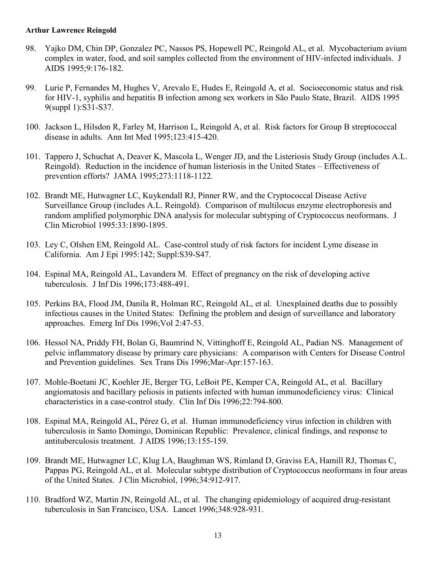- 98. Yajko DM, Chin DP, Gonzalez PC, Nassos PS, Hopewell PC, Reingold AL, et al. Mycobacterium avium complex in water, food, and soil samples collected from the environment of HIV-infected individuals. J AIDS 1995;9:176-182.
- 99. Lurie P, Fernandes M, Hughes V, Arevalo E, Hudes E, Reingold A, et al. Socioeconomic status and risk for HIV-1, syphilis and hepatitis B infection among sex workers in São Paulo State, Brazil. AIDS 1995 9(suppl 1):S31-S37.
- 100. Jackson L, Hilsdon R, Farley M, Harrison L, Reingold A, et al. Risk factors for Group B streptococcal disease in adults. Ann Int Med 1995;123:415-420.
- 101. Tappero J, Schuchat A, Deaver K, Mascola L, Wenger JD, and the Listeriosis Study Group (includes A.L. Reingold). Reduction in the incidence of human listeriosis in the United States – Effectiveness of prevention efforts? JAMA 1995;273:1118-1122.
- 102. Brandt ME, Hutwagner LC, Kuykendall RJ, Pinner RW, and the Cryptococcal Disease Active Surveillance Group (includes A.L. Reingold). Comparison of multilocus enzyme electrophoresis and random amplified polymorphic DNA analysis for molecular subtyping of Cryptococcus neoformans. J Clin Microbiol 1995:33:1890-1895.
- 103. Ley C, Olshen EM, Reingold AL. Case-control study of risk factors for incident Lyme disease in California. Am J Epi 1995:142; Suppl:S39-S47.
- 104. Espinal MA, Reingold AL, Lavandera M. Effect of pregnancy on the risk of developing active tuberculosis. J Inf Dis 1996;173:488-491.
- 105. Perkins BA, Flood JM, Danila R, Holman RC, Reingold AL, et al. Unexplained deaths due to possibly infectious causes in the United States: Defining the problem and design of surveillance and laboratory approaches. Emerg Inf Dis 1996;Vol 2:47-53.
- 106. Hessol NA, Priddy FH, Bolan G, Baumrind N, Vittinghoff E, Reingold AL, Padian NS. Management of pelvic inflammatory disease by primary care physicians: A comparison with Centers for Disease Control and Prevention guidelines. Sex Trans Dis 1996;Mar-Apr:157-163.
- 107. Mohle-Boetani JC, Koehler JE, Berger TG, LeBoit PE, Kemper CA, Reingold AL, et al. Bacillary angiomatosis and bacillary peliosis in patients infected with human immunodeficiency virus: Clinical characteristics in a case-control study. Clin Inf Dis 1996;22:794-800.
- 108. Espinal MA, Reingold AL, Pérez G, et al. Human immunodeficiency virus infection in children with tuberculosis in Santo Domingo, Dominican Republic: Prevalence, clinical findings, and response to antituberculosis treatment. J AIDS 1996;13:155-159.
- 109. Brandt ME, Hutwagner LC, Klug LA, Baughman WS, Rimland D, Graviss EA, Hamill RJ, Thomas C, Pappas PG, Reingold AL, et al. Molecular subtype distribution of Cryptococcus neoformans in four areas of the United States. J Clin Microbiol, 1996;34:912-917.
- 110. Bradford WZ, Martin JN, Reingold AL, et al. The changing epidemiology of acquired drug-resistant tuberculosis in San Francisco, USA. Lancet 1996;348:928-931.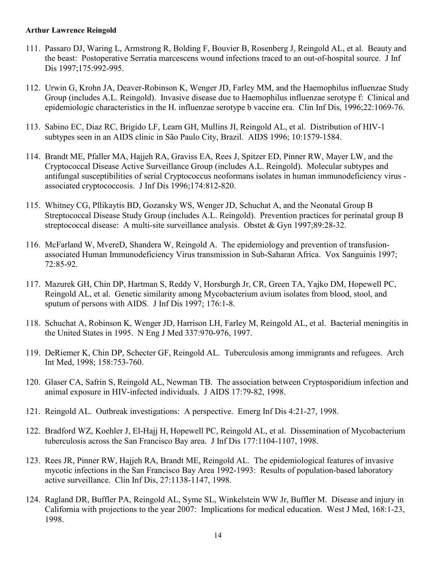- 111. Passaro DJ, Waring L, Armstrong R, Bolding F, Bouvier B, Rosenberg J, Reingold AL, et al. Beauty and the beast: Postoperative Serratia marcescens wound infections traced to an out-of-hospital source. J Inf Dis 1997;175:992-995.
- 112. Urwin G, Krohn JA, Deaver-Robinson K, Wenger JD, Farley MM, and the Haemophilus influenzae Study Group (includes A.L. Reingold). Invasive disease due to Haemophilus influenzae serotype f: Clinical and epidemiologic characteristics in the H. influenzae serotype b vaccine era. Clin Inf Dis, 1996;22:1069-76.
- 113. Sabino EC, Diaz RC, Brigido LF, Learn GH, Mullins JI, Reingold AL, et al. Distribution of HIV-1 subtypes seen in an AIDS clinic in São Paulo City, Brazil. AIDS 1996; 10:1579-1584.
- 114. Brandt ME, Pfaller MA, Hajjeh RA, Graviss EA, Rees J, Spitzer ED, Pinner RW, Mayer LW, and the Cryptococcal Disease Active Surveillance Group (includes A.L. Reingold). Molecular subtypes and antifungal susceptibilities of serial Cryptococcus neoformans isolates in human immunodeficiency virus associated cryptococcosis. J Inf Dis 1996;174:812-820.
- 115. Whitney CG, Pllikaytis BD, Gozansky WS, Wenger JD, Schuchat A, and the Neonatal Group B Streptococcal Disease Study Group (includes A.L. Reingold). Prevention practices for perinatal group B streptococcal disease: A multi-site surveillance analysis. Obstet & Gyn 1997;89:28-32.
- 116. McFarland W, MvereD, Shandera W, Reingold A. The epidemiology and prevention of transfusionassociated Human Immunodeficiency Virus transmission in Sub-Saharan Africa. Vox Sanguinis 1997; 72:85-92.
- 117. Mazurek GH, Chin DP, Hartman S, Reddy V, Horsburgh Jr, CR, Green TA, Yajko DM, Hopewell PC, Reingold AL, et al. Genetic similarity among Mycobacterium avium isolates from blood, stool, and sputum of persons with AIDS. J Inf Dis 1997; 176:1-8.
- 118. Schuchat A, Robinson K, Wenger JD, Harrison LH, Farley M, Reingold AL, et al. Bacterial meningitis in the United States in 1995. N Eng J Med 337:970-976, 1997.
- 119. DeRiemer K, Chin DP, Schecter GF, Reingold AL. Tuberculosis among immigrants and refugees. Arch Int Med, 1998; 158:753-760.
- 120. Glaser CA, Safrin S, Reingold AL, Newman TB. The association between Cryptosporidium infection and animal exposure in HIV-infected individuals. J AIDS 17:79-82, 1998.
- 121. Reingold AL. Outbreak investigations: A perspective. Emerg Inf Dis 4:21-27, 1998.
- 122. Bradford WZ, Koehler J, El-Hajj H, Hopewell PC, Reingold AL, et al. Dissemination of Mycobacterium tuberculosis across the San Francisco Bay area. J Inf Dis 177:1104-1107, 1998.
- 123. Rees JR, Pinner RW, Hajjeh RA, Brandt ME, Reingold AL. The epidemiological features of invasive mycotic infections in the San Francisco Bay Area 1992-1993: Results of population-based laboratory active surveillance. Clin Inf Dis, 27:1138-1147, 1998.
- 124. Ragland DR, Buffler PA, Reingold AL, Syme SL, Winkelstein WW Jr, Buffler M. Disease and injury in California with projections to the year 2007: Implications for medical education. West J Med, 168:1-23, 1998.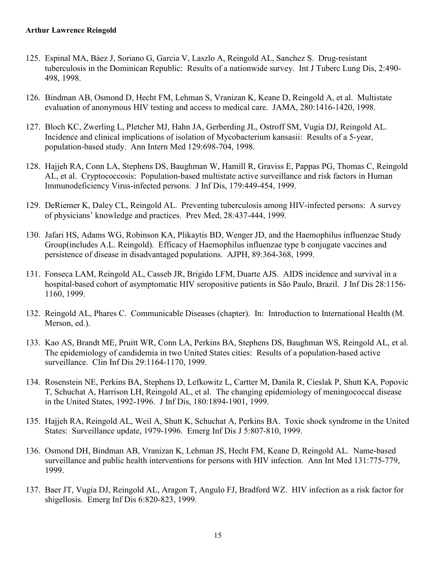- 125. Espinal MA, Báez J, Soriano G, Garcia V, Laszlo A, Reingold AL, Sanchez S. Drug-resistant tuberculosis in the Dominican Republic: Results of a nationwide survey. Int J Tuberc Lung Dis, 2:490- 498, 1998.
- 126. Bindman AB, Osmond D, Hecht FM, Lehman S, Vranizan K, Keane D, Reingold A, et al. Multistate evaluation of anonymous HIV testing and access to medical care. JAMA, 280:1416-1420, 1998.
- 127. Bloch KC, Zwerling L, Pletcher MJ, Hahn JA, Gerberding JL, Ostroff SM, Vugia DJ, Reingold AL. Incidence and clinical implications of isolation of Mycobacterium kansasii: Results of a 5-year, population-based study. Ann Intern Med 129:698-704, 1998.
- 128. Hajjeh RA, Conn LA, Stephens DS, Baughman W, Hamill R, Graviss E, Pappas PG, Thomas C, Reingold AL, et al. Cryptococcosis: Population-based multistate active surveillance and risk factors in Human Immunodeficiency Virus-infected persons. J Inf Dis, 179:449-454, 1999.
- 129. DeRiemer K, Daley CL, Reingold AL. Preventing tuberculosis among HIV-infected persons: A survey of physicians' knowledge and practices. Prev Med, 28:437-444, 1999.
- 130. Jafari HS, Adams WG, Robinson KA, Plikaytis BD, Wenger JD, and the Haemophilus influenzae Study Group(includes A.L. Reingold). Efficacy of Haemophilus influenzae type b conjugate vaccines and persistence of disease in disadvantaged populations. AJPH, 89:364-368, 1999.
- 131. Fonseca LAM, Reingold AL, Casseb JR, Brigido LFM, Duarte AJS. AIDS incidence and survival in a hospital-based cohort of asymptomatic HIV seropositive patients in São Paulo, Brazil. J Inf Dis 28:1156- 1160, 1999.
- 132. Reingold AL, Phares C. Communicable Diseases (chapter). In: Introduction to International Health (M. Merson, ed.).
- 133. Kao AS, Brandt ME, Pruitt WR, Conn LA, Perkins BA, Stephens DS, Baughman WS, Reingold AL, et al. The epidemiology of candidemia in two United States cities: Results of a population-based active surveillance. Clin Inf Dis 29:1164-1170, 1999.
- 134. Rosenstein NE, Perkins BA, Stephens D, Lefkowitz L, Cartter M, Danila R, Cieslak P, Shutt KA, Popovic T, Schuchat A, Harrison LH, Reingold AL, et al. The changing epidemiology of meningococcal disease in the United States, 1992-1996. J Inf Dis, 180:1894-1901, 1999.
- 135. Hajjeh RA, Reingold AL, Weil A, Shutt K, Schuchat A, Perkins BA. Toxic shock syndrome in the United States: Surveillance update, 1979-1996. Emerg Inf Dis J 5:807-810, 1999.
- 136. Osmond DH, Bindman AB, Vranizan K, Lehman JS, Hecht FM, Keane D, Reingold AL. Name-based surveillance and public health interventions for persons with HIV infection. Ann Int Med 131:775-779, 1999.
- 137. Baer JT, Vugia DJ, Reingold AL, Aragon T, Angulo FJ, Bradford WZ. HIV infection as a risk factor for shigellosis. Emerg Inf Dis 6:820-823, 1999.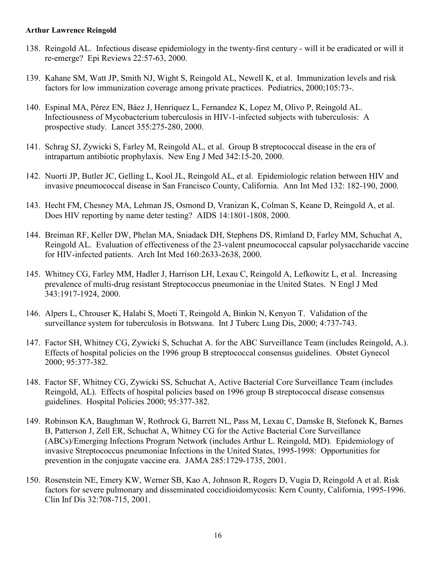- 138. Reingold AL. Infectious disease epidemiology in the twenty-first century will it be eradicated or will it re-emerge? Epi Reviews 22:57-63, 2000.
- 139. Kahane SM, Watt JP, Smith NJ, Wight S, Reingold AL, Newell K, et al. Immunization levels and risk factors for low immunization coverage among private practices. Pediatrics, 2000;105:73-.
- 140. Espinal MA, Pérez EN, Báez J, Henriquez L, Fernandez K, Lopez M, Olivo P, Reingold AL. Infectiousness of Mycobacterium tuberculosis in HIV-1-infected subjects with tuberculosis: A prospective study. Lancet 355:275-280, 2000.
- 141. Schrag SJ, Zywicki S, Farley M, Reingold AL, et al. Group B streptococcal disease in the era of intrapartum antibiotic prophylaxis. New Eng J Med 342:15-20, 2000.
- 142. Nuorti JP, Butler JC, Gelling L, Kool JL, Reingold AL, et al. Epidemiologic relation between HIV and invasive pneumococcal disease in San Francisco County, California. Ann Int Med 132: 182-190, 2000.
- 143. Hecht FM, Chesney MA, Lehman JS, Osmond D, Vranizan K, Colman S, Keane D, Reingold A, et al. Does HIV reporting by name deter testing? AIDS 14:1801-1808, 2000.
- 144. Breiman RF, Keller DW, Phelan MA, Sniadack DH, Stephens DS, Rimland D, Farley MM, Schuchat A, Reingold AL. Evaluation of effectiveness of the 23-valent pneumococcal capsular polysaccharide vaccine for HIV-infected patients. Arch Int Med 160:2633-2638, 2000.
- 145. Whitney CG, Farley MM, Hadler J, Harrison LH, Lexau C, Reingold A, Lefkowitz L, et al. Increasing prevalence of multi-drug resistant Streptococcus pneumoniae in the United States. N Engl J Med 343:1917-1924, 2000.
- 146. Alpers L, Chrouser K, Halabi S, Moeti T, Reingold A, Binkin N, Kenyon T. Validation of the surveillance system for tuberculosis in Botswana. Int J Tuberc Lung Dis, 2000; 4:737-743.
- 147. Factor SH, Whitney CG, Zywicki S, Schuchat A. for the ABC Surveillance Team (includes Reingold, A.). Effects of hospital policies on the 1996 group B streptococcal consensus guidelines. Obstet Gynecol 2000; 95:377-382.
- 148. Factor SF, Whitney CG, Zywicki SS, Schuchat A, Active Bacterial Core Surveillance Team (includes Reingold, AL). Effects of hospital policies based on 1996 group B streptococcal disease consensus guidelines. Hospital Policies 2000; 95:377-382.
- 149. Robinson KA, Baughman W, Rothrock G, Barrett NL, Pass M, Lexau C, Damske B, Stefonek K, Barnes B, Patterson J, Zell ER, Schuchat A, Whitney CG for the Active Bacterial Core Surveillance (ABCs)/Emerging Infections Program Network (includes Arthur L. Reingold, MD). Epidemiology of invasive Streptococcus pneumoniae Infections in the United States, 1995-1998: Opportunities for prevention in the conjugate vaccine era. JAMA 285:1729-1735, 2001.
- 150. Rosenstein NE, Emery KW, Werner SB, Kao A, Johnson R, Rogers D, Vugia D, Reingold A et al. Risk factors for severe pulmonary and disseminated coccidioidomycosis: Kern County, California, 1995-1996. Clin Inf Dis 32:708-715, 2001.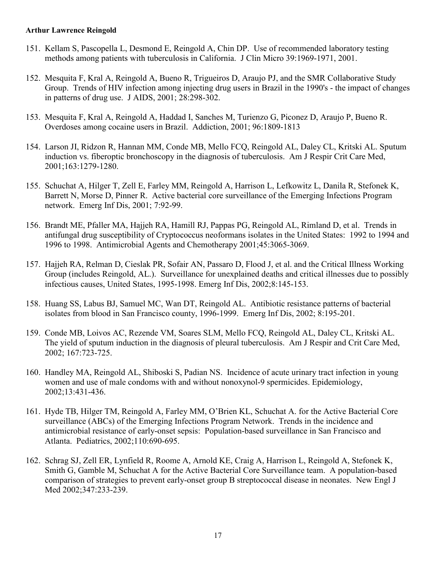- 151. Kellam S, Pascopella L, Desmond E, Reingold A, Chin DP. Use of recommended laboratory testing methods among patients with tuberculosis in California. J Clin Micro 39:1969-1971, 2001.
- 152. Mesquita F, Kral A, Reingold A, Bueno R, Trigueiros D, Araujo PJ, and the SMR Collaborative Study Group. Trends of HIV infection among injecting drug users in Brazil in the 1990's - the impact of changes in patterns of drug use. J AIDS, 2001; 28:298-302.
- 153. Mesquita F, Kral A, Reingold A, Haddad I, Sanches M, Turienzo G, Piconez D, Araujo P, Bueno R. Overdoses among cocaine users in Brazil. Addiction, 2001; 96:1809-1813
- 154. Larson JI, Ridzon R, Hannan MM, Conde MB, Mello FCQ, Reingold AL, Daley CL, Kritski AL. Sputum induction vs. fiberoptic bronchoscopy in the diagnosis of tuberculosis. Am J Respir Crit Care Med, 2001;163:1279-1280.
- 155. Schuchat A, Hilger T, Zell E, Farley MM, Reingold A, Harrison L, Lefkowitz L, Danila R, Stefonek K, Barrett N, Morse D, Pinner R. Active bacterial core surveillance of the Emerging Infections Program network. Emerg Inf Dis, 2001; 7:92-99.
- 156. Brandt ME, Pfaller MA, Hajjeh RA, Hamill RJ, Pappas PG, Reingold AL, Rimland D, et al. Trends in antifungal drug susceptibility of Cryptococcus neoformans isolates in the United States: 1992 to 1994 and 1996 to 1998. Antimicrobial Agents and Chemotherapy 2001;45:3065-3069.
- 157. Hajjeh RA, Relman D, Cieslak PR, Sofair AN, Passaro D, Flood J, et al. and the Critical Illness Working Group (includes Reingold, AL.). Surveillance for unexplained deaths and critical illnesses due to possibly infectious causes, United States, 1995-1998. Emerg Inf Dis, 2002;8:145-153.
- 158. Huang SS, Labus BJ, Samuel MC, Wan DT, Reingold AL. Antibiotic resistance patterns of bacterial isolates from blood in San Francisco county, 1996-1999. Emerg Inf Dis, 2002; 8:195-201.
- 159. Conde MB, Loivos AC, Rezende VM, Soares SLM, Mello FCQ, Reingold AL, Daley CL, Kritski AL. The yield of sputum induction in the diagnosis of pleural tuberculosis. Am J Respir and Crit Care Med, 2002; 167:723-725.
- 160. Handley MA, Reingold AL, Shiboski S, Padian NS. Incidence of acute urinary tract infection in young women and use of male condoms with and without nonoxynol-9 spermicides. Epidemiology, 2002;13:431-436.
- 161. Hyde TB, Hilger TM, Reingold A, Farley MM, O'Brien KL, Schuchat A. for the Active Bacterial Core surveillance (ABCs) of the Emerging Infections Program Network. Trends in the incidence and antimicrobial resistance of early-onset sepsis: Population-based surveillance in San Francisco and Atlanta. Pediatrics, 2002;110:690-695.
- 162. Schrag SJ, Zell ER, Lynfield R, Roome A, Arnold KE, Craig A, Harrison L, Reingold A, Stefonek K, Smith G, Gamble M, Schuchat A for the Active Bacterial Core Surveillance team. A population-based comparison of strategies to prevent early-onset group B streptococcal disease in neonates. New Engl J Med 2002;347:233-239.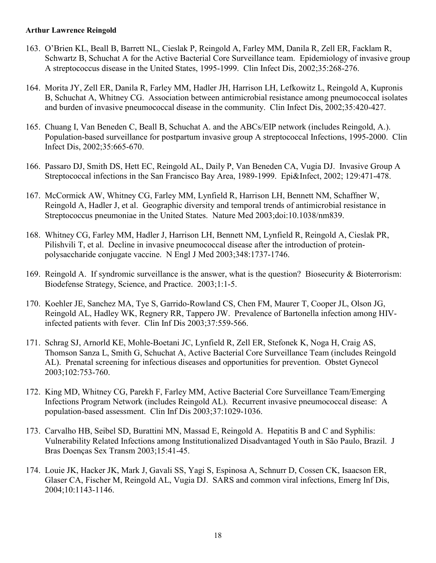- 163. O'Brien KL, Beall B, Barrett NL, Cieslak P, Reingold A, Farley MM, Danila R, Zell ER, Facklam R, Schwartz B, Schuchat A for the Active Bacterial Core Surveillance team. Epidemiology of invasive group A streptococcus disease in the United States, 1995-1999. Clin Infect Dis, 2002;35:268-276.
- 164. Morita JY, Zell ER, Danila R, Farley MM, Hadler JH, Harrison LH, Lefkowitz L, Reingold A, Kupronis B, Schuchat A, Whitney CG. Association between antimicrobial resistance among pneumococcal isolates and burden of invasive pneumococcal disease in the community. Clin Infect Dis, 2002;35:420-427.
- 165. Chuang I, Van Beneden C, Beall B, Schuchat A. and the ABCs/EIP network (includes Reingold, A.). Population-based surveillance for postpartum invasive group A streptococcal Infections, 1995-2000. Clin Infect Dis, 2002;35:665-670.
- 166. Passaro DJ, Smith DS, Hett EC, Reingold AL, Daily P, Van Beneden CA, Vugia DJ. Invasive Group A Streptococcal infections in the San Francisco Bay Area, 1989-1999. Epi&Infect, 2002; 129:471-478.
- 167. McCormick AW, Whitney CG, Farley MM, Lynfield R, Harrison LH, Bennett NM, Schaffner W, Reingold A, Hadler J, et al. Geographic diversity and temporal trends of antimicrobial resistance in Streptococcus pneumoniae in the United States. Nature Med 2003;doi:10.1038/nm839.
- 168. Whitney CG, Farley MM, Hadler J, Harrison LH, Bennett NM, Lynfield R, Reingold A, Cieslak PR, Pilishvili T, et al. Decline in invasive pneumococcal disease after the introduction of proteinpolysaccharide conjugate vaccine. N Engl J Med 2003;348:1737-1746.
- 169. Reingold A. If syndromic surveillance is the answer, what is the question? Biosecurity & Bioterrorism: Biodefense Strategy, Science, and Practice. 2003;1:1-5.
- 170. Koehler JE, Sanchez MA, Tye S, Garrido-Rowland CS, Chen FM, Maurer T, Cooper JL, Olson JG, Reingold AL, Hadley WK, Regnery RR, Tappero JW. Prevalence of Bartonella infection among HIVinfected patients with fever. Clin Inf Dis 2003;37:559-566.
- 171. Schrag SJ, Arnorld KE, Mohle-Boetani JC, Lynfield R, Zell ER, Stefonek K, Noga H, Craig AS, Thomson Sanza L, Smith G, Schuchat A, Active Bacterial Core Surveillance Team (includes Reingold AL). Prenatal screening for infectious diseases and opportunities for prevention. Obstet Gynecol 2003;102:753-760.
- 172. King MD, Whitney CG, Parekh F, Farley MM, Active Bacterial Core Surveillance Team/Emerging Infections Program Network (includes Reingold AL). Recurrent invasive pneumococcal disease: A population-based assessment. Clin Inf Dis 2003;37:1029-1036.
- 173. Carvalho HB, Seibel SD, Burattini MN, Massad E, Reingold A. Hepatitis B and C and Syphilis: Vulnerability Related Infections among Institutionalized Disadvantaged Youth in São Paulo, Brazil. J Bras Doenças Sex Transm 2003;15:41-45.
- 174. Louie JK, Hacker JK, Mark J, Gavali SS, Yagi S, Espinosa A, Schnurr D, Cossen CK, Isaacson ER, Glaser CA, Fischer M, Reingold AL, Vugia DJ. SARS and common viral infections, Emerg Inf Dis, 2004;10:1143-1146.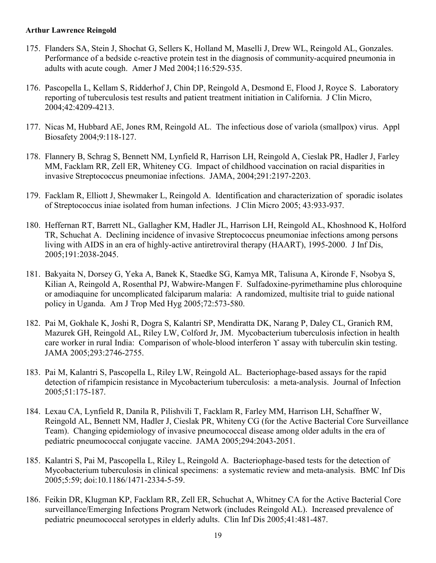- 175. Flanders SA, Stein J, Shochat G, Sellers K, Holland M, Maselli J, Drew WL, Reingold AL, Gonzales. Performance of a bedside c-reactive protein test in the diagnosis of community-acquired pneumonia in adults with acute cough. Amer J Med 2004;116:529-535.
- 176. Pascopella L, Kellam S, Ridderhof J, Chin DP, Reingold A, Desmond E, Flood J, Royce S. Laboratory reporting of tuberculosis test results and patient treatment initiation in California. J Clin Micro, 2004;42:4209-4213.
- 177. Nicas M, Hubbard AE, Jones RM, Reingold AL. The infectious dose of variola (smallpox) virus. Appl Biosafety 2004;9:118-127.
- 178. Flannery B, Schrag S, Bennett NM, Lynfield R, Harrison LH, Reingold A, Cieslak PR, Hadler J, Farley MM, Facklam RR, Zell ER, Whiteney CG. Impact of childhood vaccination on racial disparities in invasive Streptococcus pneumoniae infections. JAMA, 2004;291:2197-2203.
- 179. Facklam R, Elliott J, Shewmaker L, Reingold A. Identification and characterization of sporadic isolates of Streptococcus iniae isolated from human infections. J Clin Micro 2005; 43:933-937.
- 180. Heffernan RT, Barrett NL, Gallagher KM, Hadler JL, Harrison LH, Reingold AL, Khoshnood K, Holford TR, Schuchat A. Declining incidence of invasive Streptococcus pneumoniae infections among persons living with AIDS in an era of highly-active antiretroviral therapy (HAART), 1995-2000. J Inf Dis, 2005;191:2038-2045.
- 181. Bakyaita N, Dorsey G, Yeka A, Banek K, Staedke SG, Kamya MR, Talisuna A, Kironde F, Nsobya S, Kilian A, Reingold A, Rosenthal PJ, Wabwire-Mangen F. Sulfadoxine-pyrimethamine plus chloroquine or amodiaquine for uncomplicated falciparum malaria: A randomized, multisite trial to guide national policy in Uganda. Am J Trop Med Hyg 2005;72:573-580.
- 182. Pai M, Gokhale K, Joshi R, Dogra S, Kalantri SP, Mendiratta DK, Narang P, Daley CL, Granich RM, Mazurek GH, Reingold AL, Riley LW, Colford Jr, JM. Mycobacterium tuberculosis infection in health care worker in rural India: Comparison of whole-blood interferon ϒ assay with tuberculin skin testing. JAMA 2005;293:2746-2755.
- 183. Pai M, Kalantri S, Pascopella L, Riley LW, Reingold AL. Bacteriophage-based assays for the rapid detection of rifampicin resistance in Mycobacterium tuberculosis: a meta-analysis. Journal of Infection 2005;51:175-187.
- 184. Lexau CA, Lynfield R, Danila R, Pilishvili T, Facklam R, Farley MM, Harrison LH, Schaffner W, Reingold AL, Bennett NM, Hadler J, Cieslak PR, Whiteny CG (for the Active Bacterial Core Surveillance Team). Changing epidemiology of invasive pneumococcal disease among older adults in the era of pediatric pneumococcal conjugate vaccine. JAMA 2005;294:2043-2051.
- 185. Kalantri S, Pai M, Pascopella L, Riley L, Reingold A. Bacteriophage-based tests for the detection of Mycobacterium tuberculosis in clinical specimens: a systematic review and meta-analysis. BMC Inf Dis 2005;5:59; doi:10.1186/1471-2334-5-59.
- 186. Feikin DR, Klugman KP, Facklam RR, Zell ER, Schuchat A, Whitney CA for the Active Bacterial Core surveillance/Emerging Infections Program Network (includes Reingold AL). Increased prevalence of pediatric pneumococcal serotypes in elderly adults. Clin Inf Dis 2005;41:481-487.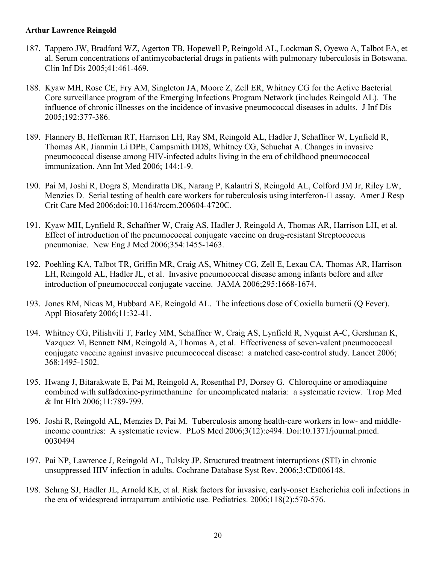- 187. Tappero JW, Bradford WZ, Agerton TB, Hopewell P, Reingold AL, Lockman S, Oyewo A, Talbot EA, et al. Serum concentrations of antimycobacterial drugs in patients with pulmonary tuberculosis in Botswana. Clin Inf Dis 2005;41:461-469.
- 188. Kyaw MH, Rose CE, Fry AM, Singleton JA, Moore Z, Zell ER, Whitney CG for the Active Bacterial Core surveillance program of the Emerging Infections Program Network (includes Reingold AL). The influence of chronic illnesses on the incidence of invasive pneumococcal diseases in adults. J Inf Dis 2005;192:377-386.
- 189. Flannery B, Heffernan RT, Harrison LH, Ray SM, Reingold AL, Hadler J, Schaffner W, Lynfield R, Thomas AR, Jianmin Li DPE, Campsmith DDS, Whitney CG, Schuchat A. Changes in invasive pneumococcal disease among HIV-infected adults living in the era of childhood pneumococcal immunization. Ann Int Med 2006; 144:1-9.
- 190. Pai M, Joshi R, Dogra S, Mendiratta DK, Narang P, Kalantri S, Reingold AL, Colford JM Jr, Riley LW, Menzies D. Serial testing of health care workers for tuberculosis using interferon- $\Box$  assay. Amer J Resp Crit Care Med 2006;doi:10.1164/rccm.200604-4720C.
- 191. Kyaw MH, Lynfield R, Schaffner W, Craig AS, Hadler J, Reingold A, Thomas AR, Harrison LH, et al. Effect of introduction of the pneumococcal conjugate vaccine on drug-resistant Streptococcus pneumoniae. New Eng J Med 2006;354:1455-1463.
- 192. Poehling KA, Talbot TR, Griffin MR, Craig AS, Whitney CG, Zell E, Lexau CA, Thomas AR, Harrison LH, Reingold AL, Hadler JL, et al. Invasive pneumococcal disease among infants before and after introduction of pneumococcal conjugate vaccine. JAMA 2006;295:1668-1674.
- 193. Jones RM, Nicas M, Hubbard AE, Reingold AL. The infectious dose of Coxiella burnetii (Q Fever). Appl Biosafety 2006;11:32-41.
- 194. Whitney CG, Pilishvili T, Farley MM, Schaffner W, Craig AS, Lynfield R, Nyquist A-C, Gershman K, Vazquez M, Bennett NM, Reingold A, Thomas A, et al. Effectiveness of seven-valent pneumococcal conjugate vaccine against invasive pneumococcal disease: a matched case-control study. Lancet 2006; 368:1495-1502.
- 195. Hwang J, Bitarakwate E, Pai M, Reingold A, Rosenthal PJ, Dorsey G. Chloroquine or amodiaquine combined with sulfadoxine-pyrimethamine for uncomplicated malaria: a systematic review. Trop Med & Int Hlth 2006;11:789-799.
- 196. Joshi R, Reingold AL, Menzies D, Pai M. Tuberculosis among health-care workers in low- and middleincome countries: A systematic review. PLoS Med 2006;3(12):e494. Doi:10.1371/journal.pmed. 0030494
- 197. Pai NP, Lawrence J, Reingold AL, Tulsky JP. Structured treatment interruptions (STI) in chronic unsuppressed HIV infection in adults. Cochrane Database Syst Rev. 2006;3:CD006148.
- 198. Schrag SJ, Hadler JL, Arnold KE, et al. Risk factors for invasive, early-onset Escherichia coli infections in the era of widespread intrapartum antibiotic use. Pediatrics. 2006;118(2):570-576.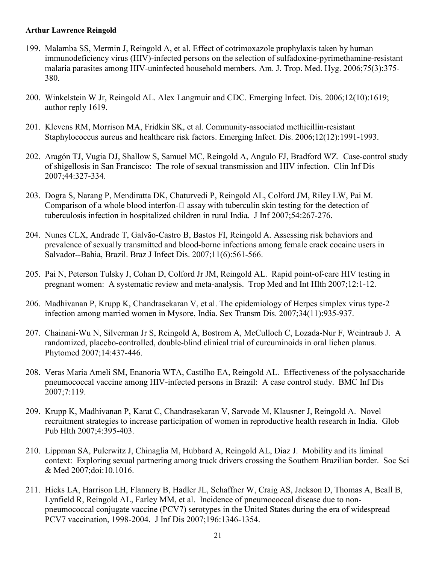- 199. Malamba SS, Mermin J, Reingold A, et al. Effect of cotrimoxazole prophylaxis taken by human immunodeficiency virus (HIV)-infected persons on the selection of sulfadoxine-pyrimethamine-resistant malaria parasites among HIV-uninfected household members. Am. J. Trop. Med. Hyg. 2006;75(3):375- 380.
- 200. Winkelstein W Jr, Reingold AL. Alex Langmuir and CDC. Emerging Infect. Dis. 2006;12(10):1619; author reply 1619.
- 201. Klevens RM, Morrison MA, Fridkin SK, et al. Community-associated methicillin-resistant Staphylococcus aureus and healthcare risk factors. Emerging Infect. Dis. 2006;12(12):1991-1993.
- 202. Aragón TJ, Vugia DJ, Shallow S, Samuel MC, Reingold A, Angulo FJ, Bradford WZ. Case-control study of shigellosis in San Francisco: The role of sexual transmission and HIV infection. Clin Inf Dis 2007;44:327-334.
- 203. Dogra S, Narang P, Mendiratta DK, Chaturvedi P, Reingold AL, Colford JM, Riley LW, Pai M. Comparison of a whole blood interfon- $\Box$  assay with tuberculin skin testing for the detection of tuberculosis infection in hospitalized children in rural India. J Inf 2007;54:267-276.
- 204. Nunes CLX, Andrade T, Galvão-Castro B, Bastos FI, Reingold A. Assessing risk behaviors and prevalence of sexually transmitted and blood-borne infections among female crack cocaine users in Salvador--Bahia, Brazil. Braz J Infect Dis. 2007;11(6):561-566.
- 205. Pai N, Peterson Tulsky J, Cohan D, Colford Jr JM, Reingold AL. Rapid point-of-care HIV testing in pregnant women: A systematic review and meta-analysis. Trop Med and Int Hlth 2007;12:1-12.
- 206. Madhivanan P, Krupp K, Chandrasekaran V, et al. The epidemiology of Herpes simplex virus type-2 infection among married women in Mysore, India. Sex Transm Dis. 2007;34(11):935-937.
- 207. Chainani-Wu N, Silverman Jr S, Reingold A, Bostrom A, McCulloch C, Lozada-Nur F, Weintraub J. A randomized, placebo-controlled, double-blind clinical trial of curcuminoids in oral lichen planus. Phytomed 2007;14:437-446.
- 208. Veras Maria Ameli SM, Enanoria WTA, Castilho EA, Reingold AL. Effectiveness of the polysaccharide pneumococcal vaccine among HIV-infected persons in Brazil: A case control study. BMC Inf Dis 2007;7:119.
- 209. Krupp K, Madhivanan P, Karat C, Chandrasekaran V, Sarvode M, Klausner J, Reingold A. Novel recruitment strategies to increase participation of women in reproductive health research in India. Glob Pub Hlth 2007;4:395-403.
- 210. Lippman SA, Pulerwitz J, Chinaglia M, Hubbard A, Reingold AL, Diaz J. Mobility and its liminal context: Exploring sexual partnering among truck drivers crossing the Southern Brazilian border. Soc Sci & Med 2007;doi:10.1016.
- 211. Hicks LA, Harrison LH, Flannery B, Hadler JL, Schaffner W, Craig AS, Jackson D, Thomas A, Beall B, Lynfield R, Reingold AL, Farley MM, et al. Incidence of pneumococcal disease due to nonpneumococcal conjugate vaccine (PCV7) serotypes in the United States during the era of widespread PCV7 vaccination, 1998-2004. J Inf Dis 2007;196:1346-1354.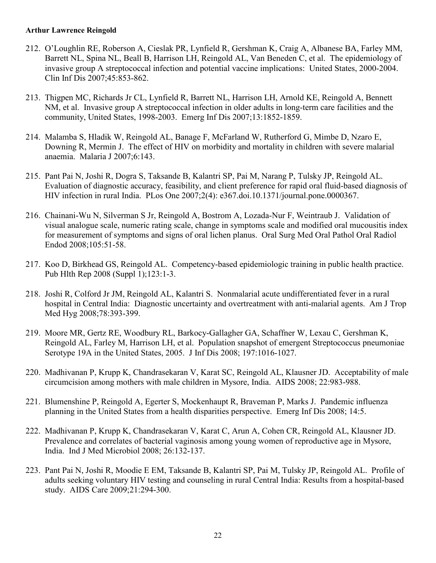- 212. O'Loughlin RE, Roberson A, Cieslak PR, Lynfield R, Gershman K, Craig A, Albanese BA, Farley MM, Barrett NL, Spina NL, Beall B, Harrison LH, Reingold AL, Van Beneden C, et al. The epidemiology of invasive group A streptococcal infection and potential vaccine implications: United States, 2000-2004. Clin Inf Dis 2007;45:853-862.
- 213. Thigpen MC, Richards Jr CL, Lynfield R, Barrett NL, Harrison LH, Arnold KE, Reingold A, Bennett NM, et al. Invasive group A streptococcal infection in older adults in long-term care facilities and the community, United States, 1998-2003. Emerg Inf Dis 2007;13:1852-1859.
- 214. Malamba S, Hladik W, Reingold AL, Banage F, McFarland W, Rutherford G, Mimbe D, Nzaro E, Downing R, Mermin J. The effect of HIV on morbidity and mortality in children with severe malarial anaemia. Malaria J 2007;6:143.
- 215. Pant Pai N, Joshi R, Dogra S, Taksande B, Kalantri SP, Pai M, Narang P, Tulsky JP, Reingold AL. Evaluation of diagnostic accuracy, feasibility, and client preference for rapid oral fluid-based diagnosis of HIV infection in rural India. PLos One 2007;2(4): e367.doi.10.1371/journal.pone.0000367.
- 216. Chainani-Wu N, Silverman S Jr, Reingold A, Bostrom A, Lozada-Nur F, Weintraub J. Validation of visual analogue scale, numeric rating scale, change in symptoms scale and modified oral mucousitis index for measurement of symptoms and signs of oral lichen planus. Oral Surg Med Oral Pathol Oral Radiol Endod 2008;105:51-58.
- 217. Koo D, Birkhead GS, Reingold AL. Competency-based epidemiologic training in public health practice. Pub Hlth Rep 2008 (Suppl 1);123:1-3.
- 218. Joshi R, Colford Jr JM, Reingold AL, Kalantri S. Nonmalarial acute undifferentiated fever in a rural hospital in Central India: Diagnostic uncertainty and overtreatment with anti-malarial agents. Am J Trop Med Hyg 2008;78:393-399.
- 219. Moore MR, Gertz RE, Woodbury RL, Barkocy-Gallagher GA, Schaffner W, Lexau C, Gershman K, Reingold AL, Farley M, Harrison LH, et al. Population snapshot of emergent Streptococcus pneumoniae Serotype 19A in the United States, 2005. J Inf Dis 2008; 197:1016-1027.
- 220. Madhivanan P, Krupp K, Chandrasekaran V, Karat SC, Reingold AL, Klausner JD. Acceptability of male circumcision among mothers with male children in Mysore, India. AIDS 2008; 22:983-988.
- 221. Blumenshine P, Reingold A, Egerter S, Mockenhaupt R, Braveman P, Marks J. Pandemic influenza planning in the United States from a health disparities perspective. Emerg Inf Dis 2008; 14:5.
- 222. Madhivanan P, Krupp K, Chandrasekaran V, Karat C, Arun A, Cohen CR, Reingold AL, Klausner JD. Prevalence and correlates of bacterial vaginosis among young women of reproductive age in Mysore, India. Ind J Med Microbiol 2008; 26:132-137.
- 223. Pant Pai N, Joshi R, Moodie E EM, Taksande B, Kalantri SP, Pai M, Tulsky JP, Reingold AL. Profile of adults seeking voluntary HIV testing and counseling in rural Central India: Results from a hospital-based study. AIDS Care 2009;21:294-300.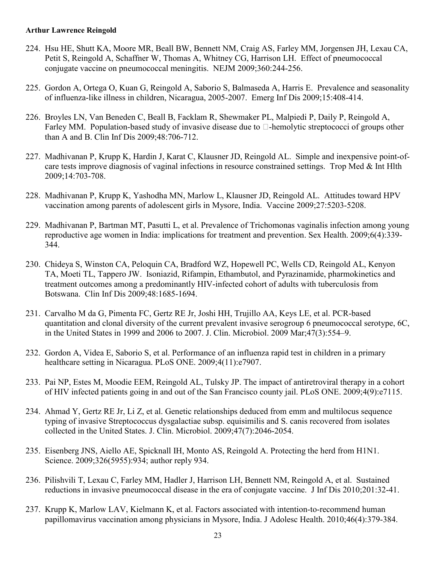- 224. Hsu HE, Shutt KA, Moore MR, Beall BW, Bennett NM, Craig AS, Farley MM, Jorgensen JH, Lexau CA, Petit S, Reingold A, Schaffner W, Thomas A, Whitney CG, Harrison LH. Effect of pneumococcal conjugate vaccine on pneumococcal meningitis. NEJM 2009;360:244-256.
- 225. Gordon A, Ortega O, Kuan G, Reingold A, Saborio S, Balmaseda A, Harris E. Prevalence and seasonality of influenza-like illness in children, Nicaragua, 2005-2007. Emerg Inf Dis 2009;15:408-414.
- 226. Broyles LN, Van Beneden C, Beall B, Facklam R, Shewmaker PL, Malpiedi P, Daily P, Reingold A, Farley MM. Population-based study of invasive disease due to  $\Box$ -hemolytic streptococci of groups other than A and B. Clin Inf Dis 2009;48:706-712.
- 227. Madhivanan P, Krupp K, Hardin J, Karat C, Klausner JD, Reingold AL. Simple and inexpensive point-ofcare tests improve diagnosis of vaginal infections in resource constrained settings. Trop Med & Int Hlth 2009;14:703-708.
- 228. Madhivanan P, Krupp K, Yashodha MN, Marlow L, Klausner JD, Reingold AL. Attitudes toward HPV vaccination among parents of adolescent girls in Mysore, India. Vaccine 2009;27:5203-5208.
- 229. Madhivanan P, Bartman MT, Pasutti L, et al. Prevalence of Trichomonas vaginalis infection among young reproductive age women in India: implications for treatment and prevention. Sex Health. 2009;6(4):339- 344.
- 230. Chideya S, Winston CA, Peloquin CA, Bradford WZ, Hopewell PC, Wells CD, Reingold AL, Kenyon TA, Moeti TL, Tappero JW. Isoniazid, Rifampin, Ethambutol, and Pyrazinamide, pharmokinetics and treatment outcomes among a predominantly HIV-infected cohort of adults with tuberculosis from Botswana. Clin Inf Dis 2009;48:1685-1694.
- 231. Carvalho M da G, Pimenta FC, Gertz RE Jr, Joshi HH, Trujillo AA, Keys LE, et al. PCR-based quantitation and clonal diversity of the current prevalent invasive serogroup 6 pneumococcal serotype, 6C, in the United States in 1999 and 2006 to 2007. J. Clin. Microbiol. 2009 Mar;47(3):554–9.
- 232. Gordon A, Videa E, Saborio S, et al. Performance of an influenza rapid test in children in a primary healthcare setting in Nicaragua. PLoS ONE. 2009;4(11):e7907.
- 233. Pai NP, Estes M, Moodie EEM, Reingold AL, Tulsky JP. The impact of antiretroviral therapy in a cohort of HIV infected patients going in and out of the San Francisco county jail. PLoS ONE. 2009;4(9):e7115.
- 234. Ahmad Y, Gertz RE Jr, Li Z, et al. Genetic relationships deduced from emm and multilocus sequence typing of invasive Streptococcus dysgalactiae subsp. equisimilis and S. canis recovered from isolates collected in the United States. J. Clin. Microbiol. 2009;47(7):2046-2054.
- 235. Eisenberg JNS, Aiello AE, Spicknall IH, Monto AS, Reingold A. Protecting the herd from H1N1. Science. 2009;326(5955):934; author reply 934.
- 236. Pilishvili T, Lexau C, Farley MM, Hadler J, Harrison LH, Bennett NM, Reingold A, et al. Sustained reductions in invasive pneumococcal disease in the era of conjugate vaccine. J Inf Dis 2010;201:32-41.
- 237. Krupp K, Marlow LAV, Kielmann K, et al. Factors associated with intention-to-recommend human papillomavirus vaccination among physicians in Mysore, India. J Adolesc Health. 2010;46(4):379-384.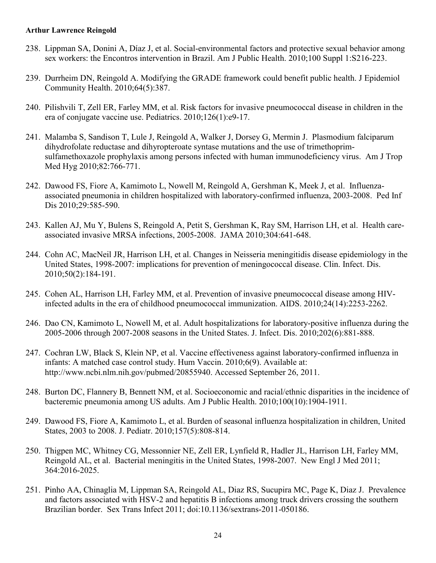- 238. Lippman SA, Donini A, Díaz J, et al. Social-environmental factors and protective sexual behavior among sex workers: the Encontros intervention in Brazil. Am J Public Health. 2010;100 Suppl 1:S216-223.
- 239. Durrheim DN, Reingold A. Modifying the GRADE framework could benefit public health. J Epidemiol Community Health. 2010;64(5):387.
- 240. Pilishvili T, Zell ER, Farley MM, et al. Risk factors for invasive pneumococcal disease in children in the era of conjugate vaccine use. Pediatrics. 2010;126(1):e9-17.
- 241. Malamba S, Sandison T, Lule J, Reingold A, Walker J, Dorsey G, Mermin J. Plasmodium falciparum dihydrofolate reductase and dihyropteroate syntase mutations and the use of trimethoprimsulfamethoxazole prophylaxis among persons infected with human immunodeficiency virus. Am J Trop Med Hyg 2010;82:766-771.
- 242. Dawood FS, Fiore A, Kamimoto L, Nowell M, Reingold A, Gershman K, Meek J, et al. Influenzaassociated pneumonia in children hospitalized with laboratory-confirmed influenza, 2003-2008. Ped Inf Dis 2010;29:585-590.
- 243. Kallen AJ, Mu Y, Bulens S, Reingold A, Petit S, Gershman K, Ray SM, Harrison LH, et al. Health careassociated invasive MRSA infections, 2005-2008. JAMA 2010;304:641-648.
- 244. Cohn AC, MacNeil JR, Harrison LH, et al. Changes in Neisseria meningitidis disease epidemiology in the United States, 1998-2007: implications for prevention of meningococcal disease. Clin. Infect. Dis. 2010;50(2):184-191.
- 245. Cohen AL, Harrison LH, Farley MM, et al. Prevention of invasive pneumococcal disease among HIVinfected adults in the era of childhood pneumococcal immunization. AIDS. 2010;24(14):2253-2262.
- 246. Dao CN, Kamimoto L, Nowell M, et al. Adult hospitalizations for laboratory-positive influenza during the 2005-2006 through 2007-2008 seasons in the United States. J. Infect. Dis. 2010;202(6):881-888.
- 247. Cochran LW, Black S, Klein NP, et al. Vaccine effectiveness against laboratory-confirmed influenza in infants: A matched case control study. Hum Vaccin. 2010;6(9). Available at: http://www.ncbi.nlm.nih.gov/pubmed/20855940. Accessed September 26, 2011.
- 248. Burton DC, Flannery B, Bennett NM, et al. Socioeconomic and racial/ethnic disparities in the incidence of bacteremic pneumonia among US adults. Am J Public Health. 2010;100(10):1904-1911.
- 249. Dawood FS, Fiore A, Kamimoto L, et al. Burden of seasonal influenza hospitalization in children, United States, 2003 to 2008. J. Pediatr. 2010;157(5):808-814.
- 250. Thigpen MC, Whitney CG, Messonnier NE, Zell ER, Lynfield R, Hadler JL, Harrison LH, Farley MM, Reingold AL, et al. Bacterial meningitis in the United States, 1998-2007. New Engl J Med 2011; 364:2016-2025.
- 251. Pinho AA, Chinaglia M, Lippman SA, Reingold AL, Diaz RS, Sucupira MC, Page K, Diaz J. Prevalence and factors associated with HSV-2 and hepatitis B infections among truck drivers crossing the southern Brazilian border. Sex Trans Infect 2011; doi:10.1136/sextrans-2011-050186.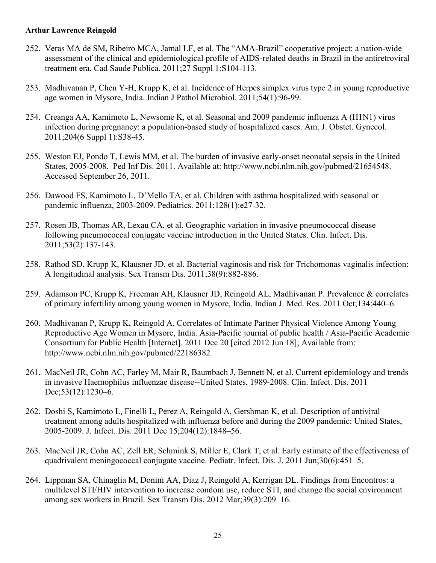- 252. Veras MA de SM, Ribeiro MCA, Jamal LF, et al. The "AMA-Brazil" cooperative project: a nation-wide assessment of the clinical and epidemiological profile of AIDS-related deaths in Brazil in the antiretroviral treatment era. Cad Saude Publica. 2011;27 Suppl 1:S104-113.
- 253. Madhivanan P, Chen Y-H, Krupp K, et al. Incidence of Herpes simplex virus type 2 in young reproductive age women in Mysore, India. Indian J Pathol Microbiol. 2011;54(1):96-99.
- 254. Creanga AA, Kamimoto L, Newsome K, et al. Seasonal and 2009 pandemic influenza A (H1N1) virus infection during pregnancy: a population-based study of hospitalized cases. Am. J. Obstet. Gynecol. 2011;204(6 Suppl 1):S38-45.
- 255. Weston EJ, Pondo T, Lewis MM, et al. The burden of invasive early-onset neonatal sepsis in the United States, 2005-2008. Ped Inf Dis. 2011. Available at: http://www.ncbi.nlm.nih.gov/pubmed/21654548. Accessed September 26, 2011.
- 256. Dawood FS, Kamimoto L, D'Mello TA, et al. Children with asthma hospitalized with seasonal or pandemic influenza, 2003-2009. Pediatrics. 2011;128(1):e27-32.
- 257. Rosen JB, Thomas AR, Lexau CA, et al. Geographic variation in invasive pneumococcal disease following pneumococcal conjugate vaccine introduction in the United States. Clin. Infect. Dis. 2011;53(2):137-143.
- 258. Rathod SD, Krupp K, Klausner JD, et al. Bacterial vaginosis and risk for Trichomonas vaginalis infection: A longitudinal analysis. Sex Transm Dis. 2011;38(9):882-886.
- 259. Adamson PC, Krupp K, Freeman AH, Klausner JD, Reingold AL, Madhivanan P. Prevalence & correlates of primary infertility among young women in Mysore, India. Indian J. Med. Res. 2011 Oct;134:440–6.
- 260. Madhivanan P, Krupp K, Reingold A. Correlates of Intimate Partner Physical Violence Among Young Reproductive Age Women in Mysore, India. Asia-Pacific journal of public health / Asia-Pacific Academic Consortium for Public Health [Internet]. 2011 Dec 20 [cited 2012 Jun 18]; Available from: http://www.ncbi.nlm.nih.gov/pubmed/22186382
- 261. MacNeil JR, Cohn AC, Farley M, Mair R, Baumbach J, Bennett N, et al. Current epidemiology and trends in invasive Haemophilus influenzae disease--United States, 1989-2008. Clin. Infect. Dis. 2011 Dec; 53(12): 1230–6.
- 262. Doshi S, Kamimoto L, Finelli L, Perez A, Reingold A, Gershman K, et al. Description of antiviral treatment among adults hospitalized with influenza before and during the 2009 pandemic: United States, 2005-2009. J. Infect. Dis. 2011 Dec 15;204(12):1848–56.
- 263. MacNeil JR, Cohn AC, Zell ER, Schmink S, Miller E, Clark T, et al. Early estimate of the effectiveness of quadrivalent meningococcal conjugate vaccine. Pediatr. Infect. Dis. J. 2011 Jun;30(6):451–5.
- 264. Lippman SA, Chinaglia M, Donini AA, Diaz J, Reingold A, Kerrigan DL. Findings from Encontros: a multilevel STI/HIV intervention to increase condom use, reduce STI, and change the social environment among sex workers in Brazil. Sex Transm Dis. 2012 Mar;39(3):209–16.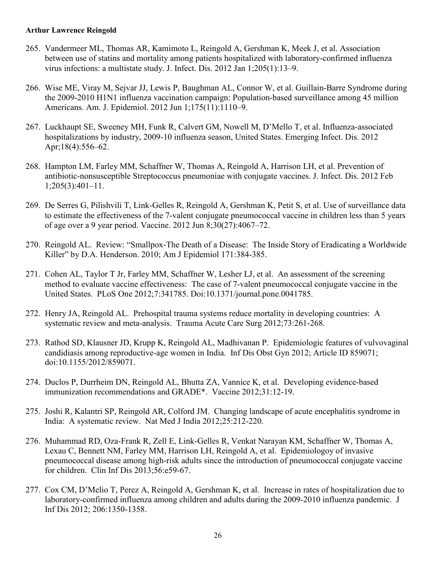- 265. Vandermeer ML, Thomas AR, Kamimoto L, Reingold A, Gershman K, Meek J, et al. Association between use of statins and mortality among patients hospitalized with laboratory-confirmed influenza virus infections: a multistate study. J. Infect. Dis. 2012 Jan 1;205(1):13–9.
- 266. Wise ME, Viray M, Sejvar JJ, Lewis P, Baughman AL, Connor W, et al. Guillain-Barre Syndrome during the 2009-2010 H1N1 influenza vaccination campaign: Population-based surveillance among 45 million Americans. Am. J. Epidemiol. 2012 Jun 1;175(11):1110–9.
- 267. Luckhaupt SE, Sweeney MH, Funk R, Calvert GM, Nowell M, D'Mello T, et al. Influenza-associated hospitalizations by industry, 2009-10 influenza season, United States. Emerging Infect. Dis. 2012 Apr;18(4):556–62.
- 268. Hampton LM, Farley MM, Schaffner W, Thomas A, Reingold A, Harrison LH, et al. Prevention of antibiotic-nonsusceptible Streptococcus pneumoniae with conjugate vaccines. J. Infect. Dis. 2012 Feb 1;205(3):401–11.
- 269. De Serres G, Pilishvili T, Link-Gelles R, Reingold A, Gershman K, Petit S, et al. Use of surveillance data to estimate the effectiveness of the 7-valent conjugate pneumococcal vaccine in children less than 5 years of age over a 9 year period. Vaccine. 2012 Jun 8;30(27):4067–72.
- 270. Reingold AL. Review: "Smallpox-The Death of a Disease: The Inside Story of Eradicating a Worldwide Killer" by D.A. Henderson. 2010; Am J Epidemiol 171:384-385.
- 271. Cohen AL, Taylor T Jr, Farley MM, Schaffner W, Lesher LJ, et al. An assessment of the screening method to evaluate vaccine effectiveness: The case of 7-valent pneumococcal conjugate vaccine in the United States. PLoS One 2012;7:341785. Doi:10.1371/journal.pone.0041785.
- 272. Henry JA, Reingold AL. Prehospital trauma systems reduce mortality in developing countries: A systematic review and meta-analysis. Trauma Acute Care Surg 2012;73:261-268.
- 273. Rathod SD, Klausner JD, Krupp K, Reingold AL, Madhivanan P. Epidemiologic features of vulvovaginal candidiasis among reproductive-age women in India. Inf Dis Obst Gyn 2012; Article ID 859071; doi:10.1155/2012/859071.
- 274. Duclos P, Durrheim DN, Reingold AL, Bhutta ZA, Vannice K, et al. Developing evidence-based immunization recommendations and GRADE\*. Vaccine 2012;31:12-19.
- 275. Joshi R, Kalantri SP, Reingold AR, Colford JM. Changing landscape of acute encephalitis syndrome in India: A systematic review. Nat Med J India 2012;25:212-220.
- 276. Muhammad RD, Oza-Frank R, Zell E, Link-Gelles R, Venkat Narayan KM, Schaffner W, Thomas A, Lexau C, Bennett NM, Farley MM, Harrison LH, Reingold A, et al. Epidemiologoy of invasive pneumococcal disease among high-risk adults since the introduction of pneumococcal conjugate vaccine for children. Clin Inf Dis 2013;56:e59-67.
- 277. Cox CM, D'Melio T, Perez A, Reingold A, Gershman K, et al. Increase in rates of hospitalization due to laboratory-confirmed influenza among children and adults during the 2009-2010 influenza pandemic. J Inf Dis 2012; 206:1350-1358.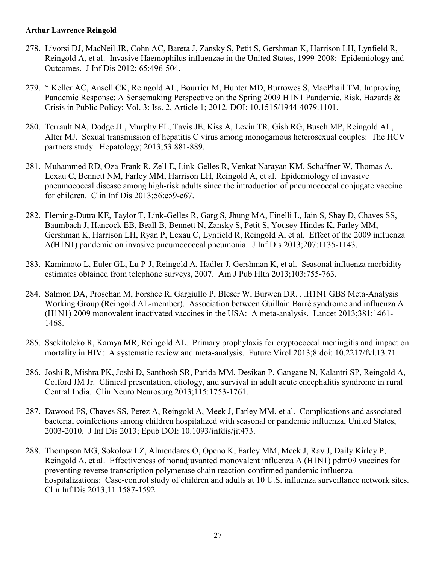- 278. Livorsi DJ, MacNeil JR, Cohn AC, Bareta J, Zansky S, Petit S, Gershman K, Harrison LH, Lynfield R, Reingold A, et al. Invasive Haemophilus influenzae in the United States, 1999-2008: Epidemiology and Outcomes. J Inf Dis 2012; 65:496-504.
- 279. \* Keller AC, Ansell CK, Reingold AL, Bourrier M, Hunter MD, Burrowes S, MacPhail TM. Improving Pandemic Response: A Sensemaking Perspective on the Spring 2009 H1N1 Pandemic. Risk, Hazards & Crisis in Public Policy: Vol. 3: Iss. 2, Article 1; 2012. DOI: 10.1515/1944-4079.1101.
- 280. Terrault NA, Dodge JL, Murphy EL, Tavis JE, Kiss A, Levin TR, Gish RG, Busch MP, Reingold AL, Alter MJ. Sexual transmission of hepatitis C virus among monogamous heterosexual couples: The HCV partners study. Hepatology; 2013;53:881-889.
- 281. Muhammed RD, Oza-Frank R, Zell E, Link-Gelles R, Venkat Narayan KM, Schaffner W, Thomas A, Lexau C, Bennett NM, Farley MM, Harrison LH, Reingold A, et al. Epidemiology of invasive pneumococcal disease among high-risk adults since the introduction of pneumococcal conjugate vaccine for children. Clin Inf Dis 2013;56:e59-e67.
- 282. Fleming-Dutra KE, Taylor T, Link-Gelles R, Garg S, Jhung MA, Finelli L, Jain S, Shay D, Chaves SS, Baumbach J, Hancock EB, Beall B, Bennett N, Zansky S, Petit S, Yousey-Hindes K, Farley MM, Gershman K, Harrison LH, Ryan P, Lexau C, Lynfield R, Reingold A, et al. Effect of the 2009 influenza A(H1N1) pandemic on invasive pneumococcal pneumonia. J Inf Dis 2013;207:1135-1143.
- 283. Kamimoto L, Euler GL, Lu P-J, Reingold A, Hadler J, Gershman K, et al. Seasonal influenza morbidity estimates obtained from telephone surveys, 2007. Am J Pub Hlth 2013;103:755-763.
- 284. Salmon DA, Proschan M, Forshee R, Gargiullo P, Bleser W, Burwen DR. . .H1N1 GBS Meta-Analysis Working Group (Reingold AL-member). Association between Guillain Barré syndrome and influenza A (H1N1) 2009 monovalent inactivated vaccines in the USA: A meta-analysis. Lancet 2013;381:1461- 1468.
- 285. Ssekitoleko R, Kamya MR, Reingold AL. Primary prophylaxis for cryptococcal meningitis and impact on mortality in HIV: A systematic review and meta-analysis. Future Virol 2013;8:doi: 10.2217/fvl.13.71.
- 286. Joshi R, Mishra PK, Joshi D, Santhosh SR, Parida MM, Desikan P, Gangane N, Kalantri SP, Reingold A, Colford JM Jr. Clinical presentation, etiology, and survival in adult acute encephalitis syndrome in rural Central India. Clin Neuro Neurosurg 2013;115:1753-1761.
- 287. Dawood FS, Chaves SS, Perez A, Reingold A, Meek J, Farley MM, et al. Complications and associated bacterial coinfections among children hospitalized with seasonal or pandemic influenza, United States, 2003-2010. J Inf Dis 2013; Epub DOI: 10.1093/infdis/jit473.
- 288. Thompson MG, Sokolow LZ, Almendares O, Openo K, Farley MM, Meek J, Ray J, Daily Kirley P, Reingold A, et al. Effectiveness of nonadjuvanted monovalent influenza A (H1N1) pdm09 vaccines for preventing reverse transcription polymerase chain reaction-confirmed pandemic influenza hospitalizations: Case-control study of children and adults at 10 U.S. influenza surveillance network sites. Clin Inf Dis 2013;11:1587-1592.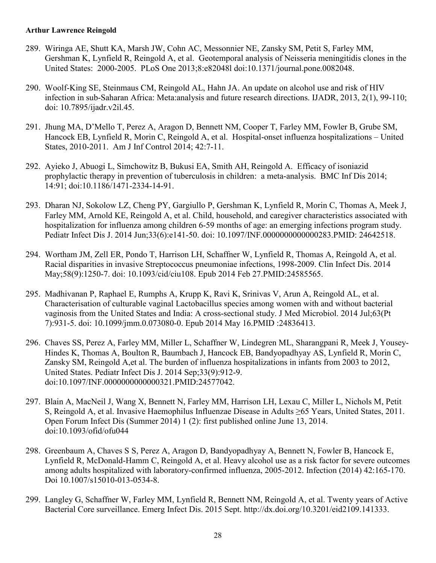- 289. Wiringa AE, Shutt KA, Marsh JW, Cohn AC, Messonnier NE, Zansky SM, Petit S, Farley MM, Gershman K, Lynfield R, Reingold A, et al. Geotemporal analysis of Neisseria meningitidis clones in the United States: 2000-2005. PLoS One 2013;8:e82048l doi:10.1371/journal.pone.0082048.
- 290. Woolf-King SE, Steinmaus CM, Reingold AL, Hahn JA. An update on alcohol use and risk of HIV infection in sub-Saharan Africa: Meta:analysis and future research directions. IJADR, 2013, 2(1), 99-110; doi: 10.7895/ijadr.v2il.45.
- 291. Jhung MA, D'Mello T, Perez A, Aragon D, Bennett NM, Cooper T, Farley MM, Fowler B, Grube SM, Hancock EB, Lynfield R, Morin C, Reingold A, et al. Hospital-onset influenza hospitalizations – United States, 2010-2011. Am J Inf Control 2014; 42:7-11.
- 292. Ayieko J, Abuogi L, Simchowitz B, Bukusi EA, Smith AH, Reingold A. Efficacy of isoniazid prophylactic therapy in prevention of tuberculosis in children: a meta-analysis. BMC Inf Dis 2014; 14:91; doi:10.1186/1471-2334-14-91.
- 293. Dharan NJ, Sokolow LZ, Cheng PY, Gargiullo P, Gershman K, Lynfield R, Morin C, Thomas A, Meek J, Farley MM, Arnold KE, Reingold A, et al. Child, household, and caregiver characteristics associated with hospitalization for influenza among children 6-59 months of age: an emerging infections program study. Pediatr Infect Dis J. 2014 Jun;33(6):e141-50. doi: 10.1097/INF.0000000000000283.PMID: 24642518.
- 294. Wortham JM, Zell ER, Pondo T, Harrison LH, Schaffner W, Lynfield R, Thomas A, Reingold A, et al. Racial disparities in invasive Streptococcus pneumoniae infections, 1998-2009. Clin Infect Dis. 2014 May;58(9):1250-7. doi: 10.1093/cid/ciu108. Epub 2014 Feb 27.PMID:24585565.
- 295. Madhivanan P, Raphael E, Rumphs A, Krupp K, Ravi K, Srinivas V, Arun A, Reingold AL, et al. Characterisation of culturable vaginal Lactobacillus species among women with and without bacterial vaginosis from the United States and India: A cross-sectional study. J Med Microbiol. 2014 Jul;63(Pt 7):931-5. doi: 10.1099/jmm.0.073080-0. Epub 2014 May 16.PMID :24836413.
- 296. Chaves SS, Perez A, Farley MM, Miller L, Schaffner W, Lindegren ML, Sharangpani R, Meek J, Yousey-Hindes K, Thomas A, Boulton R, Baumbach J, Hancock EB, Bandyopadhyay AS, Lynfield R, Morin C, Zansky SM, Reingold A,et al. The burden of influenza hospitalizations in infants from 2003 to 2012, United States. Pediatr Infect Dis J. 2014 Sep;33(9):912-9. doi:10.1097/INF.0000000000000321.PMID:24577042.
- 297. Blain A, MacNeil J, Wang X, Bennett N, Farley MM, Harrison LH, Lexau C, Miller L, Nichols M, Petit S, Reingold A, et al. Invasive Haemophilus Influenzae Disease in Adults ≥65 Years, United States, 2011. Open Forum Infect Dis (Summer 2014) 1 (2): first published online June 13, 2014. doi:10.1093/ofid/ofu044
- 298. Greenbaum A, Chaves S S, Perez A, Aragon D, Bandyopadhyay A, Bennett N, Fowler B, Hancock E, Lynfield R, McDonald-Hamm C, Reingold A, et al. Heavy alcohol use as a risk factor for severe outcomes among adults hospitalized with laboratory-confirmed influenza, 2005-2012. Infection (2014) 42:165-170. Doi 10.1007/s15010-013-0534-8.
- 299. Langley G, Schaffner W, Farley MM, Lynfield R, Bennett NM, Reingold A, et al. Twenty years of Active Bacterial Core surveillance. Emerg Infect Dis. 2015 Sept. http://dx.doi.org/10.3201/eid2109.141333.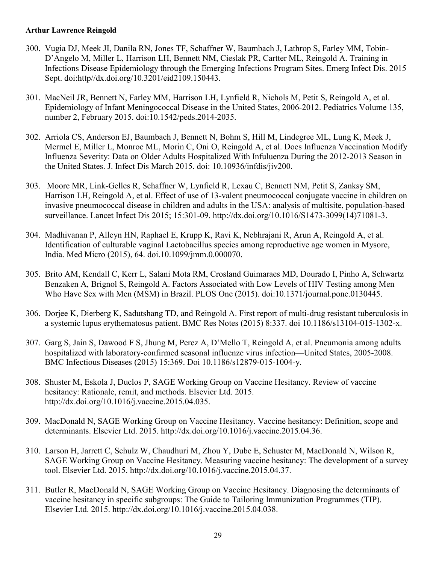- 300. Vugia DJ, Meek JI, Danila RN, Jones TF, Schaffner W, Baumbach J, Lathrop S, Farley MM, Tobin-D'Angelo M, Miller L, Harrison LH, Bennett NM, Cieslak PR, Cartter ML, Reingold A. Training in Infections Disease Epidemiology through the Emerging Infections Program Sites. Emerg Infect Dis. 2015 Sept. doi:http//dx.doi.org/10.3201/eid2109.150443.
- 301. MacNeil JR, Bennett N, Farley MM, Harrison LH, Lynfield R, Nichols M, Petit S, Reingold A, et al. Epidemiology of Infant Meningococcal Disease in the United States, 2006-2012. Pediatrics Volume 135, number 2, February 2015. doi:10.1542/peds.2014-2035.
- 302. Arriola CS, Anderson EJ, Baumbach J, Bennett N, Bohm S, Hill M, Lindegree ML, Lung K, Meek J, Mermel E, Miller L, Monroe ML, Morin C, Oni O, Reingold A, et al. Does Influenza Vaccination Modify Influenza Severity: Data on Older Adults Hospitalized With Infuluenza During the 2012-2013 Season in the United States. J. Infect Dis March 2015. doi: 10.10936/infdis/jiv200.
- 303. Moore MR, Link-Gelles R, Schaffner W, Lynfield R, Lexau C, Bennett NM, Petit S, Zanksy SM, Harrison LH, Reingold A, et al. Effect of use of 13-valent pneumococcal conjugate vaccine in children on invasive pneumococcal disease in children and adults in the USA: analysis of multisite, population-based surveillance. Lancet Infect Dis 2015; 15:301-09. http://dx.doi.org/10.1016/S1473-3099(14)71081-3.
- 304. Madhivanan P, Alleyn HN, Raphael E, Krupp K, Ravi K, Nebhrajani R, Arun A, Reingold A, et al. Identification of culturable vaginal Lactobacillus species among reproductive age women in Mysore, India. Med Micro (2015), 64. doi.10.1099/jmm.0.000070.
- 305. Brito AM, Kendall C, Kerr L, Salani Mota RM, Crosland Guimaraes MD, Dourado I, Pinho A, Schwartz Benzaken A, Brignol S, Reingold A. Factors Associated with Low Levels of HIV Testing among Men Who Have Sex with Men (MSM) in Brazil. PLOS One (2015). doi:10.1371/journal.pone.0130445.
- 306. Dorjee K, Dierberg K, Sadutshang TD, and Reingold A. First report of multi-drug resistant tuberculosis in a systemic lupus erythematosus patient. BMC Res Notes (2015) 8:337. doi 10.1186/s13104-015-1302-x.
- 307. Garg S, Jain S, Dawood F S, Jhung M, Perez A, D'Mello T, Reingold A, et al. Pneumonia among adults hospitalized with laboratory-confirmed seasonal influenze virus infection—United States, 2005-2008. BMC Infectious Diseases (2015) 15:369. Doi 10.1186/s12879-015-1004-y.
- 308. Shuster M, Eskola J, Duclos P, SAGE Working Group on Vaccine Hesitancy. Review of vaccine hesitancy: Rationale, remit, and methods. Elsevier Ltd. 2015. [http://dx.doi.org/10.1016/j.vaccine.2015.04.035.](http://dx.doi.org/10.1016/j.vaccine.2015.04.035)
- 309. MacDonald N, SAGE Working Group on Vaccine Hesitancy. Vaccine hesitancy: Definition, scope and determinants. Elsevier Ltd. 2015. [http://dx.doi.org/10.1016/j.vaccine.2015.04.36.](http://dx.doi.org/10.1016/j.vaccine.2015.04.36)
- 310. Larson H, Jarrett C, Schulz W, Chaudhuri M, Zhou Y, Dube E, Schuster M, MacDonald N, Wilson R, SAGE Working Group on Vaccine Hesitancy. Measuring vaccine hesitancy: The development of a survey tool. Elsevier Ltd. 2015. [http://dx.doi.org/10.1016/j.vaccine.2015.04.37.](http://dx.doi.org/10.1016/j.vaccine.2015.04.37)
- 311. Butler R, MacDonald N, SAGE Working Group on Vaccine Hesitancy. Diagnosing the determinants of vaccine hesitancy in specific subgroups: The Guide to Tailoring Immunization Programmes (TIP). Elsevier Ltd. 2015. [http://dx.doi.org/10.1016/j.vaccine.2015.04.038.](http://dx.doi.org/10.1016/j.vaccine.2015.04.038)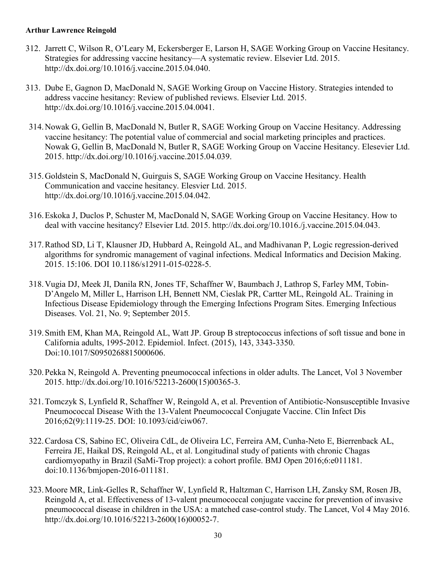- 312. Jarrett C, Wilson R, O'Leary M, Eckersberger E, Larson H, SAGE Working Group on Vaccine Hesitancy. Strategies for addressing vaccine hesitancy—A systematic review. Elsevier Ltd. 2015. [http://dx.doi.org/10.1016/j.vaccine.2015.04.040.](http://dx.doi.org/10.1016/j.vaccine.2015.04.040)
- 313. Dube E, Gagnon D, MacDonald N, SAGE Working Group on Vaccine History. Strategies intended to address vaccine hesitancy: Review of published reviews. Elsevier Ltd. 2015. [http://dx.doi.org/10.1016/j.vaccine.2015.04.0041.](http://dx.doi.org/10.1016/j.vaccine.2015.04.0041)
- 314.Nowak G, Gellin B, MacDonald N, Butler R, SAGE Working Group on Vaccine Hesitancy. Addressing vaccine hesitancy: The potential value of commercial and social marketing principles and practices. Nowak G, Gellin B, MacDonald N, Butler R, SAGE Working Group on Vaccine Hesitancy. Elesevier Ltd. 2015. [http://dx.doi.org/10.1016/j.vaccine.2015.04.039.](http://dx.doi.org/10.1016/j.vaccine.2015.04.039)
- 315.Goldstein S, MacDonald N, Guirguis S, SAGE Working Group on Vaccine Hesitancy. Health Communication and vaccine hesitancy. Elesvier Ltd. 2015. [http://dx.doi.org/10.1016/j.vaccine.2015.04.042.](http://dx.doi.org/10.1016/j.vaccine.2015.04.042)
- 316.Eskoka J, Duclos P, Schuster M, MacDonald N, SAGE Working Group on Vaccine Hesitancy. How to deal with vaccine hesitancy? Elsevier Ltd. 2015. [http://dx.doi.org/10.1016./j.vaccine.2015.04.043.](http://dx.doi.org/10.1016./j.vaccine.2015.04.043)
- 317.Rathod SD, Li T, Klausner JD, Hubbard A, Reingold AL, and Madhivanan P, Logic regression-derived algorithms for syndromic management of vaginal infections. Medical Informatics and Decision Making. 2015. 15:106. DOI 10.1186/s12911-015-0228-5.
- 318.Vugia DJ, Meek JI, Danila RN, Jones TF, Schaffner W, Baumbach J, Lathrop S, Farley MM, Tobin-D'Angelo M, Miller L, Harrison LH, Bennett NM, Cieslak PR, Cartter ML, Reingold AL. Training in Infectious Disease Epidemiology through the Emerging Infections Program Sites. Emerging Infectious Diseases. Vol. 21, No. 9; September 2015.
- 319.Smith EM, Khan MA, Reingold AL, Watt JP. Group B streptococcus infections of soft tissue and bone in California adults, 1995-2012. Epidemiol. Infect. (2015), 143, 3343-3350. Doi:10.1017/S0950268815000606.
- 320.Pekka N, Reingold A. Preventing pneumococcal infections in older adults. The Lancet, Vol 3 November 2015. [http://dx.doi.org/10.1016/52213-2600\(15\)00365-3.](http://dx.doi.org/10.1016/52213-2600(15)00365-3)
- 321.Tomczyk S, Lynfield R, Schaffner W, Reingold A, et al. Prevention of Antibiotic-Nonsusceptible Invasive Pneumococcal Disease With the 13-Valent Pneumococcal Conjugate Vaccine. Clin Infect Dis 2016;62(9):1119-25. DOI: 10.1093/cid/ciw067.
- 322.Cardosa CS, Sabino EC, Oliveira CdL, de Oliveira LC, Ferreira AM, Cunha-Neto E, Bierrenback AL, Ferreira JE, Haikal DS, Reingold AL, et al. Longitudinal study of patients with chronic Chagas cardiomyopathy in Brazil (SaMi-Trop project): a cohort profile. BMJ Open 2016;6:e011181. doi:10.1136/bmjopen-2016-011181.
- 323.Moore MR, Link-Gelles R, Schaffner W, Lynfield R, Haltzman C, Harrison LH, Zansky SM, Rosen JB, Reingold A, et al. Effectiveness of 13-valent pneumococcal conjugate vaccine for prevention of invasive pneumococcal disease in children in the USA: a matched case-control study. The Lancet, Vol 4 May 2016. http://dx.doi.org/10.1016/52213-2600(16)00052-7.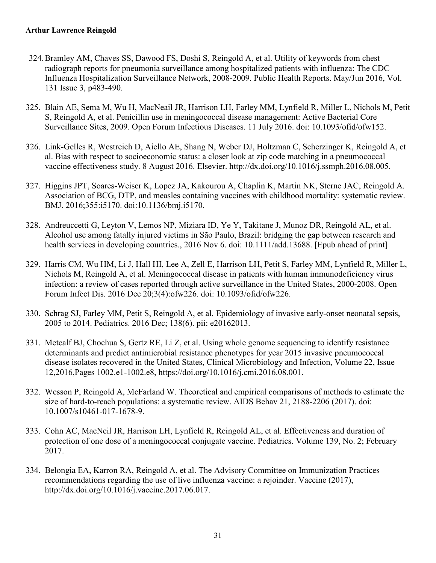- 324.Bramley AM, Chaves SS, Dawood FS, Doshi S, Reingold A, et al. Utility of keywords from chest radiograph reports for pneumonia surveillance among hospitalized patients with influenza: The CDC Influenza Hospitalization Surveillance Network, 2008-2009. Public Health Reports. May/Jun 2016, Vol. 131 Issue 3, p483-490.
- 325. Blain AE, Sema M, Wu H, MacNeail JR, Harrison LH, Farley MM, Lynfield R, Miller L, Nichols M, Petit S, Reingold A, et al. Penicillin use in meningococcal disease management: Active Bacterial Core Surveillance Sites, 2009. Open Forum Infectious Diseases. 11 July 2016. doi: 10.1093/ofid/ofw152.
- 326. Link-Gelles R, Westreich D, Aiello AE, Shang N, Weber DJ, Holtzman C, Scherzinger K, Reingold A, et al. Bias with respect to socioeconomic status: a closer look at zip code matching in a pneumococcal vaccine effectiveness study. 8 August 2016. Elsevier. [http://dx.doi.org/10.1016/j.ssmph.2016.08.005.](http://dx.doi.org/10.1016/j.ssmph.2016.08.005)
- 327. Higgins JPT, Soares-Weiser K, Lopez JA, Kakourou A, Chaplin K, Martin NK, Sterne JAC, Reingold A. Association of BCG, DTP, and measles containing vaccines with childhood mortality: systematic review. BMJ. 2016;355:i5170. doi:10.1136/bmj.i5170.
- 328. Andreuccetti G, Leyton V, Lemos NP, Miziara ID, Ye Y, Takitane J, Munoz DR, Reingold AL, et al. Alcohol use among fatally injured victims in São Paulo, Brazil: bridging the gap between research and health services in developing countries., 2016 Nov 6. doi: 10.1111/add.13688. [Epub ahead of print]
- 329. Harris CM, Wu HM, Li J, Hall HI, Lee A, Zell E, Harrison LH, Petit S, Farley MM, Lynfield R, Miller L, Nichols M, Reingold A, et al. Meningococcal disease in patients with human immunodeficiency virus infection: a review of cases reported through active surveillance in the United States, 2000-2008. Open Forum Infect Dis. 2016 Dec 20;3(4):ofw226. doi: 10.1093/ofid/ofw226.
- 330. Schrag SJ, Farley MM, Petit S, Reingold A, et al. Epidemiology of invasive early-onset neonatal sepsis, 2005 to 2014. Pediatrics. 2016 Dec; 138(6). pii: e20162013.
- 331. Metcalf BJ, Chochua S, Gertz RE, Li Z, et al. Using whole genome sequencing to identify resistance determinants and predict antimicrobial resistance phenotypes for year 2015 invasive pneumococcal disease isolates recovered in the United States, Clinical Microbiology and Infection, Volume 22, Issue 12,2016,Pages 1002.e1-1002.e8, https://doi.org/10.1016/j.cmi.2016.08.001.
- 332. Wesson P, Reingold A, McFarland W. Theoretical and empirical comparisons of methods to estimate the size of hard-to-reach populations: a systematic review. AIDS Behav 21, 2188-2206 (2017). doi: 10.1007/s10461-017-1678-9.
- 333. Cohn AC, MacNeil JR, Harrison LH, Lynfield R, Reingold AL, et al. Effectiveness and duration of protection of one dose of a meningococcal conjugate vaccine. Pediatrics. Volume 139, No. 2; February 2017.
- 334. Belongia EA, Karron RA, Reingold A, et al. The Advisory Committee on Immunization Practices recommendations regarding the use of live influenza vaccine: a rejoinder. Vaccine (2017), http://dx.doi.org/10.1016/j.vaccine.2017.06.017.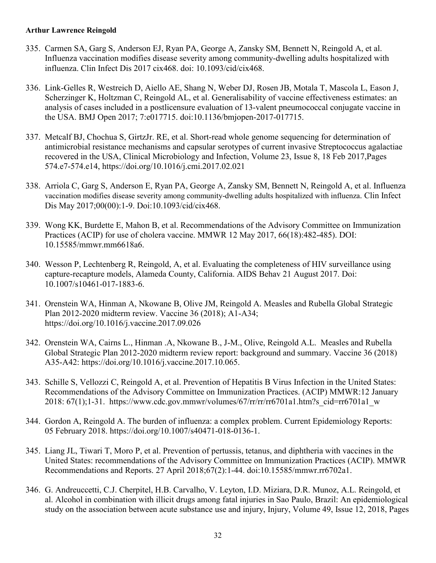- 335. Carmen SA, Garg S, Anderson EJ, Ryan PA, George A, Zansky SM, Bennett N, Reingold A, et al. Influenza vaccination modifies disease severity among community-dwelling adults hospitalized with influenza. Clin Infect Dis 2017 cix468. doi: 10.1093/cid/cix468.
- 336. Link-Gelles R, Westreich D, Aiello AE, Shang N, Weber DJ, Rosen JB, Motala T, Mascola L, Eason J, Scherzinger K, Holtzman C, Reingold AL, et al. Generalisability of vaccine effectiveness estimates: an analysis of cases included in a postlicensure evaluation of 13-valent pneumococcal conjugate vaccine in the USA. BMJ Open 2017; 7:e017715. doi:10.1136/bmjopen-2017-017715.
- 337. Metcalf BJ, Chochua S, GirtzJr. RE, et al. Short-read whole genome sequencing for determination of antimicrobial resistance mechanisms and capsular serotypes of current invasive Streptococcus agalactiae recovered in the USA, Clinical Microbiology and Infection, Volume 23, Issue 8, 18 Feb 2017,Pages 574.e7-574.e14, https://doi.org/10.1016/j.cmi.2017.02.021
- 338. Arriola C, Garg S, Anderson E, Ryan PA, George A, Zansky SM, Bennett N, Reingold A, et al. Influenza vaccination modifies disease severity among community-dwelling adults hospitalized with influenza. Clin Infect Dis May 2017;00(00):1-9. Doi:10.1093/cid/cix468.
- 339. Wong KK, Burdette E, Mahon B, et al. Recommendations of the Advisory Committee on Immunization Practices (ACIP) for use of cholera vaccine. MMWR 12 May 2017, 66(18):482-485). DOI: 10.15585/mmwr.mm6618a6.
- 340. Wesson P, Lechtenberg R, Reingold, A, et al. Evaluating the completeness of HIV surveillance using capture-recapture models, Alameda County, California. AIDS Behav 21 August 2017. Doi: 10.1007/s10461-017-1883-6.
- 341. Orenstein WA, Hinman A, Nkowane B, Olive JM, Reingold A. Measles and Rubella Global Strategic Plan 2012-2020 midterm review. Vaccine 36 (2018); A1-A34; https://doi.org/10.1016/j.vaccine.2017.09.026
- 342. Orenstein WA, Cairns L., Hinman .A, Nkowane B., J-M., Olive, Reingold A.L. Measles and Rubella Global Strategic Plan 2012-2020 midterm review report: background and summary. Vaccine 36 (2018) A35-A42: https://doi.org/10.1016/j.vaccine.2017.10.065.
- 343. Schille S, Vellozzi C, Reingold A, et al. Prevention of Hepatitis B Virus Infection in the United States: Recommendations of the Advisory Committee on Immunization Practices. (ACIP) MMWR:12 January 2018:  $67(1)$ ;1-31. https://www.cdc.gov.mmwr/volumes/ $67/rr/rr/rr6701a1$ .htm?s cid=rr6701a1 w
- 344. Gordon A, Reingold A. The burden of influenza: a complex problem. Current Epidemiology Reports: 05 February 2018. [https://doi.org/10.1007/s40471-018-0136-1.](https://doi.org/10.1007/s40471-018-0136-1)
- 345. Liang JL, Tiwari T, Moro P, et al. Prevention of pertussis, tetanus, and diphtheria with vaccines in the United States: recommendations of the Advisory Committee on Immunization Practices (ACIP). MMWR Recommendations and Reports. 27 April 2018;67(2):1-44. doi:10.15585/mmwr.rr6702a1.
- 346. G. Andreuccetti, C.J. Cherpitel, H.B. Carvalho, V. Leyton, I.D. Miziara, D.R. Munoz, A.L. Reingold, et al. Alcohol in combination with illicit drugs among fatal injuries in Sao Paulo, Brazil: An epidemiological study on the association between acute substance use and injury, Injury, Volume 49, Issue 12, 2018, Pages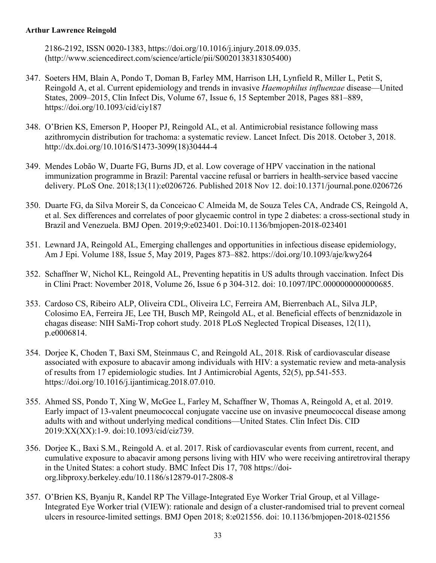2186-2192, ISSN 0020-1383, [https://doi.org/10.1016/j.injury.2018.09.035.](https://doi.org/10.1016/j.injury.2018.09.035) [\(http://www.sciencedirect.com/science/article/pii/S0020138318305400\)](http://www.sciencedirect.com/science/article/pii/S0020138318305400)

- 347. Soeters HM, Blain A, Pondo T, Doman B, Farley MM, Harrison LH, Lynfield R, Miller L, Petit S, Reingold A, et al. Current epidemiology and trends in invasive *Haemophilus influenzae* disease—United States, 2009–2015, Clin Infect Dis, Volume 67, Issue 6, 15 September 2018, Pages 881–889, <https://doi.org/10.1093/cid/ciy187>
- 348. O'Brien KS, Emerson P, Hooper PJ, Reingold AL, et al. Antimicrobial resistance following mass azithromycin distribution for trachoma: a systematic review. Lancet Infect. Dis 2018. October 3, 2018. [http://dx.doi.org/10.1016/S1473-3099\(18\)30444-4](http://dx.doi.org/10.1016/S1473-3099(18)30444-4)
- 349. Mendes Lobão W, Duarte FG, Burns JD, et al. Low coverage of HPV vaccination in the national immunization programme in Brazil: Parental vaccine refusal or barriers in health-service based vaccine delivery. PLoS One. 2018;13(11):e0206726. Published 2018 Nov 12. doi:10.1371/journal.pone.0206726
- 350. Duarte FG, da Silva Moreir S, da Conceicao C Almeida M, de Souza Teles CA, Andrade CS, Reingold A, et al. Sex differences and correlates of poor glycaemic control in type 2 diabetes: a cross-sectional study in Brazil and Venezuela. BMJ Open. 2019;9:e023401. Doi:10.1136/bmjopen-2018-023401
- 351. Lewnard JA, Reingold AL, Emerging challenges and opportunities in infectious disease epidemiology, Am J Epi. Volume 188, Issue 5, May 2019, Pages 873–882.<https://doi.org/10.1093/aje/kwy264>
- 352. Schaffner W, Nichol KL, Reingold AL, Preventing hepatitis in US adults through vaccination. Infect Dis in Clini Pract: November 2018, Volume 26, Issue 6 p 304-312. doi: 10.1097/IPC.0000000000000685.
- 353. Cardoso CS, Ribeiro ALP, Oliveira CDL, Oliveira LC, Ferreira AM, Bierrenbach AL, Silva JLP, Colosimo EA, Ferreira JE, Lee TH, Busch MP, Reingold AL, et al. Beneficial effects of benznidazole in chagas disease: NIH SaMi-Trop cohort study. 2018 PLoS Neglected Tropical Diseases, 12(11), p.e0006814.
- 354. Dorjee K, Choden T, Baxi SM, Steinmaus C, and Reingold AL, 2018. Risk of cardiovascular disease associated with exposure to abacavir among individuals with HIV: a systematic review and meta-analysis of results from 17 epidemiologic studies. Int J Antimicrobial Agents, 52(5), pp.541-553. [https://doi.org/10.1016/j.ijantimicag.2018.07.010.](https://doi.org/10.1016/j.ijantimicag.2018.07.010)
- 355. Ahmed SS, Pondo T, Xing W, McGee L, Farley M, Schaffner W, Thomas A, Reingold A, et al. 2019. Early impact of 13-valent pneumococcal conjugate vaccine use on invasive pneumococcal disease among adults with and without underlying medical conditions—United States. Clin Infect Dis. CID 2019:XX(XX):1-9. doi:10.1093/cid/ciz739.
- 356. Dorjee K., Baxi S.M., Reingold A. et al. 2017. Risk of cardiovascular events from current, recent, and cumulative exposure to abacavir among persons living with HIV who were receiving antiretroviral therapy in the United States: a cohort study. BMC Infect Dis 17, 708 [https://doi](https://doi-org.libproxy.berkeley.edu/10.1186/s12879-017-2808-8)[org.libproxy.berkeley.edu/10.1186/s12879-017-2808-8](https://doi-org.libproxy.berkeley.edu/10.1186/s12879-017-2808-8)
- 357. O'Brien KS, Byanju R, Kandel RP The Village-Integrated Eye Worker Trial Group, et al Village-Integrated Eye Worker trial (VIEW): rationale and design of a cluster-randomised trial to prevent corneal ulcers in resource-limited settings. BMJ Open 2018; 8:e021556. doi: 10.1136/bmjopen-2018-021556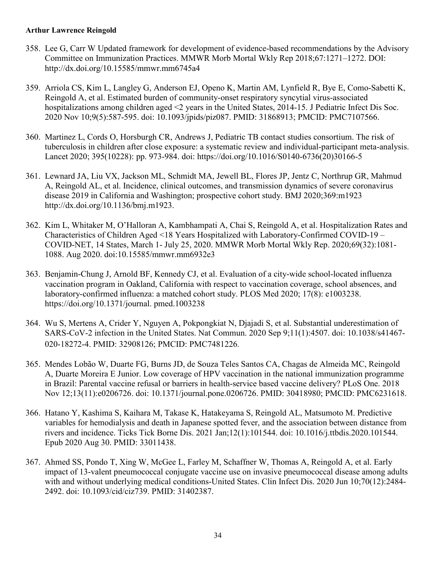- 358. Lee G, Carr W Updated framework for development of evidence-based recommendations by the Advisory Committee on Immunization Practices. MMWR Morb Mortal Wkly Rep 2018;67:1271–1272. DOI: <http://dx.doi.org/10.15585/mmwr.mm6745a4>
- 359. Arriola CS, Kim L, Langley G, Anderson EJ, Openo K, Martin AM, Lynfield R, Bye E, Como-Sabetti K, Reingold A, et al. Estimated burden of community-onset respiratory syncytial virus-associated hospitalizations among children aged <2 years in the United States, 2014-15. J Pediatric Infect Dis Soc. 2020 Nov 10;9(5):587-595. doi: 10.1093/jpids/piz087. PMID: 31868913; PMCID: PMC7107566.
- 360. Martinez L, Cords O, Horsburgh CR, Andrews J, Pediatric TB contact studies consortium. The risk of tuberculosis in children after close exposure: a systematic review and individual-participant meta-analysis. Lancet 2020; 395(10228): pp. 973-984. doi: [https://doi.org/10.1016/S0140-6736\(20\)30166-5](https://doi.org/10.1016/S0140-6736(20)30166-5)
- 361. Lewnard JA, Liu VX, Jackson ML, Schmidt MA, Jewell BL, Flores JP, Jentz C, Northrup GR, Mahmud A, Reingold AL, et al. Incidence, clinical outcomes, and transmission dynamics of severe coronavirus disease 2019 in California and Washington; prospective cohort study. BMJ 2020;369:m1923 http://dx.doi.org/10.1136/bmj.m1923.
- 362. Kim L, Whitaker M, O'Halloran A, Kambhampati A, Chai S, Reingold A, et al. Hospitalization Rates and Characteristics of Children Aged <18 Years Hospitalized with Laboratory-Confirmed COVID-19 – COVID-NET, 14 States, March 1- July 25, 2020. MMWR Morb Mortal Wkly Rep. 2020;69(32):1081- 1088. Aug 2020. doi:10.15585/mmwr.mm6932e3
- 363. Benjamin-Chung J, Arnold BF, Kennedy CJ, et al. Evaluation of a city-wide school-located influenza vaccination program in Oakland, California with respect to vaccination coverage, school absences, and laboratory-confirmed influenza: a matched cohort study. PLOS Med 2020; 17(8): e1003238. https://doi.org/10.1371/journal. pmed.1003238
- 364. Wu S, Mertens A, Crider Y, Nguyen A, Pokpongkiat N, Djajadi S, et al. Substantial underestimation of SARS-CoV-2 infection in the United States. Nat Commun. 2020 Sep 9;11(1):4507. doi: 10.1038/s41467- 020-18272-4. PMID: 32908126; PMCID: PMC7481226.
- 365. Mendes Lobão W, Duarte FG, Burns JD, de Souza Teles Santos CA, Chagas de Almeida MC, Reingold A, Duarte Moreira E Junior. Low coverage of HPV vaccination in the national immunization programme in Brazil: Parental vaccine refusal or barriers in health-service based vaccine delivery? PLoS One. 2018 Nov 12;13(11):e0206726. doi: 10.1371/journal.pone.0206726. PMID: 30418980; PMCID: PMC6231618.
- 366. Hatano Y, Kashima S, Kaihara M, Takase K, Hatakeyama S, Reingold AL, Matsumoto M. Predictive variables for hemodialysis and death in Japanese spotted fever, and the association between distance from rivers and incidence. Ticks Tick Borne Dis. 2021 Jan;12(1):101544. doi: 10.1016/j.ttbdis.2020.101544. Epub 2020 Aug 30. PMID: 33011438.
- 367. Ahmed SS, Pondo T, Xing W, McGee L, Farley M, Schaffner W, Thomas A, Reingold A, et al. Early impact of 13-valent pneumococcal conjugate vaccine use on invasive pneumococcal disease among adults with and without underlying medical conditions-United States. Clin Infect Dis. 2020 Jun 10;70(12):2484-2492. doi: 10.1093/cid/ciz739. PMID: 31402387.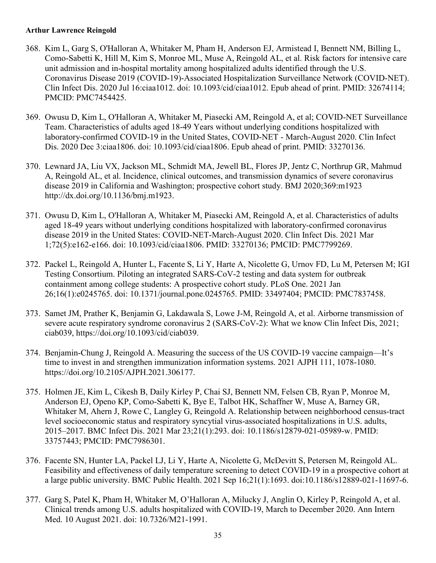- 368. Kim L, Garg S, O'Halloran A, Whitaker M, Pham H, Anderson EJ, Armistead I, Bennett NM, Billing L, Como-Sabetti K, Hill M, Kim S, Monroe ML, Muse A, Reingold AL, et al. Risk factors for intensive care unit admission and in-hospital mortality among hospitalized adults identified through the U.S. Coronavirus Disease 2019 (COVID-19)-Associated Hospitalization Surveillance Network (COVID-NET). Clin Infect Dis. 2020 Jul 16:ciaa1012. doi: 10.1093/cid/ciaa1012. Epub ahead of print. PMID: 32674114; PMCID: PMC7454425.
- 369. Owusu D, Kim L, O'Halloran A, Whitaker M, Piasecki AM, Reingold A, et al; COVID-NET Surveillance Team. Characteristics of adults aged 18-49 Years without underlying conditions hospitalized with laboratory-confirmed COVID-19 in the United States, COVID-NET - March-August 2020. Clin Infect Dis. 2020 Dec 3:ciaa1806. doi: 10.1093/cid/ciaa1806. Epub ahead of print. PMID: 33270136.
- 370. Lewnard JA, Liu VX, Jackson ML, Schmidt MA, Jewell BL, Flores JP, Jentz C, Northrup GR, Mahmud A, Reingold AL, et al. Incidence, clinical outcomes, and transmission dynamics of severe coronavirus disease 2019 in California and Washington; prospective cohort study. BMJ 2020;369:m1923 http://dx.doi.org/10.1136/bmj.m1923.
- 371. Owusu D, Kim L, O'Halloran A, Whitaker M, Piasecki AM, Reingold A, et al. Characteristics of adults aged 18-49 years without underlying conditions hospitalized with laboratory-confirmed coronavirus disease 2019 in the United States: COVID-NET-March-August 2020. Clin Infect Dis. 2021 Mar 1;72(5):e162-e166. doi: 10.1093/cid/ciaa1806. PMID: 33270136; PMCID: PMC7799269.
- 372. Packel L, Reingold A, Hunter L, Facente S, Li Y, Harte A, Nicolette G, Urnov FD, Lu M, Petersen M; IGI Testing Consortium. Piloting an integrated SARS-CoV-2 testing and data system for outbreak containment among college students: A prospective cohort study. PLoS One. 2021 Jan 26;16(1):e0245765. doi: 10.1371/journal.pone.0245765. PMID: 33497404; PMCID: PMC7837458.
- 373. Samet JM, Prather K, Benjamin G, Lakdawala S, Lowe J-M, Reingold A, et al. Airborne transmission of severe acute respiratory syndrome coronavirus 2 (SARS-CoV-2): What we know Clin Infect Dis, 2021; ciab039, https://doi.org/10.1093/cid/ciab039.
- 374. Benjamin-Chung J, Reingold A. Measuring the success of the US COVID-19 vaccine campaign—It's time to invest in and strengthen immunization information systems. 2021 AJPH 111, 1078-1080. https://doi.org/10.2105/AJPH.2021.306177.
- 375. Holmen JE, Kim L, Cikesh B, Daily Kirley P, Chai SJ, Bennett NM, Felsen CB, Ryan P, Monroe M, Anderson EJ, Openo KP, Como-Sabetti K, Bye E, Talbot HK, Schaffner W, Muse A, Barney GR, Whitaker M, Ahern J, Rowe C, Langley G, Reingold A. Relationship between neighborhood census-tract level socioeconomic status and respiratory syncytial virus-associated hospitalizations in U.S. adults, 2015–2017. BMC Infect Dis. 2021 Mar 23;21(1):293. doi: 10.1186/s12879-021-05989-w. PMID: 33757443; PMCID: PMC7986301.
- 376. Facente SN, Hunter LA, Packel LJ, Li Y, Harte A, Nicolette G, McDevitt S, Petersen M, Reingold AL. Feasibility and effectiveness of daily temperature screening to detect COVID-19 in a prospective cohort at a large public university. BMC Public Health. 2021 Sep 16;21(1):1693. doi:10.1186/s12889-021-11697-6.
- 377. Garg S, Patel K, Pham H, Whitaker M, O'Halloran A, Milucky J, Anglin O, Kirley P, Reingold A, et al. Clinical trends among U.S. adults hospitalized with COVID-19, March to December 2020. Ann Intern Med. 10 August 2021. doi: 10.7326/M21-1991.